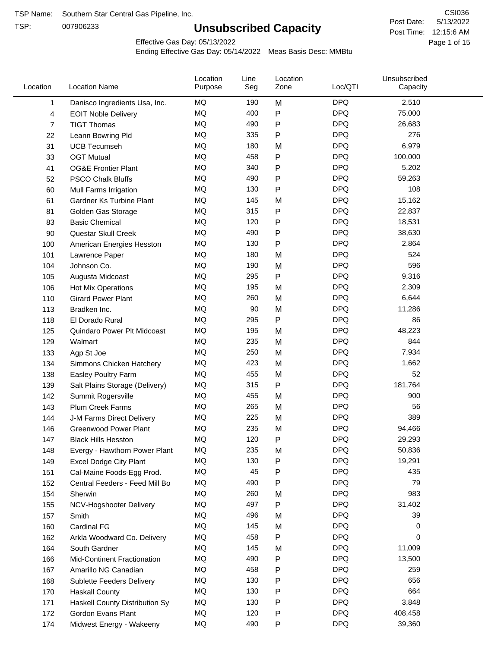TSP:

## **Unsubscribed Capacity**

5/13/2022 Page 1 of 15 Post Time: 12:15:6 AM CSI036 Post Date:

Effective Gas Day: 05/13/2022

| Location | <b>Location Name</b>               | Location<br>Purpose | Line<br>Seg | Location<br>Zone | Loc/QTI    | Unsubscribed<br>Capacity |  |
|----------|------------------------------------|---------------------|-------------|------------------|------------|--------------------------|--|
| 1        | Danisco Ingredients Usa, Inc.      | MQ                  | 190         | M                | <b>DPQ</b> | 2,510                    |  |
| 4        | <b>EOIT Noble Delivery</b>         | MQ                  | 400         | P                | <b>DPQ</b> | 75,000                   |  |
| 7        | <b>TIGT Thomas</b>                 | <b>MQ</b>           | 490         | P                | <b>DPQ</b> | 26,683                   |  |
| 22       | Leann Bowring Pld                  | <b>MQ</b>           | 335         | Ρ                | <b>DPQ</b> | 276                      |  |
| 31       | <b>UCB Tecumseh</b>                | <b>MQ</b>           | 180         | M                | <b>DPQ</b> | 6,979                    |  |
| 33       | <b>OGT Mutual</b>                  | <b>MQ</b>           | 458         | P                | <b>DPQ</b> | 100,000                  |  |
| 41       | <b>OG&amp;E Frontier Plant</b>     | MQ                  | 340         | P                | <b>DPQ</b> | 5,202                    |  |
| 52       | <b>PSCO Chalk Bluffs</b>           | MQ                  | 490         | Ρ                | <b>DPQ</b> | 59,263                   |  |
| 60       | Mull Farms Irrigation              | <b>MQ</b>           | 130         | Ρ                | <b>DPQ</b> | 108                      |  |
| 61       | Gardner Ks Turbine Plant           | MQ                  | 145         | M                | <b>DPQ</b> | 15,162                   |  |
| 81       | Golden Gas Storage                 | MQ                  | 315         | P                | <b>DPQ</b> | 22,837                   |  |
| 83       | <b>Basic Chemical</b>              | MQ                  | 120         | P                | <b>DPQ</b> | 18,531                   |  |
| 90       | Questar Skull Creek                | MQ                  | 490         | Ρ                | <b>DPQ</b> | 38,630                   |  |
| 100      | American Energies Hesston          | <b>MQ</b>           | 130         | Ρ                | <b>DPQ</b> | 2,864                    |  |
| 101      | Lawrence Paper                     | <b>MQ</b>           | 180         | M                | <b>DPQ</b> | 524                      |  |
| 104      | Johnson Co.                        | <b>MQ</b>           | 190         | M                | <b>DPQ</b> | 596                      |  |
| 105      | Augusta Midcoast                   | <b>MQ</b>           | 295         | P                | <b>DPQ</b> | 9,316                    |  |
| 106      | Hot Mix Operations                 | <b>MQ</b>           | 195         | M                | <b>DPQ</b> | 2,309                    |  |
| 110      | <b>Girard Power Plant</b>          | <b>MQ</b>           | 260         | M                | <b>DPQ</b> | 6,644                    |  |
| 113      | Bradken Inc.                       | <b>MQ</b>           | 90          | M                | <b>DPQ</b> | 11,286                   |  |
| 118      | El Dorado Rural                    | MQ                  | 295         | P                | <b>DPQ</b> | 86                       |  |
| 125      | Quindaro Power Plt Midcoast        | MQ                  | 195         | M                | <b>DPQ</b> | 48,223                   |  |
| 129      | Walmart                            | <b>MQ</b>           | 235         | M                | <b>DPQ</b> | 844                      |  |
| 133      | Agp St Joe                         | <b>MQ</b>           | 250         | M                | <b>DPQ</b> | 7,934                    |  |
| 134      | Simmons Chicken Hatchery           | <b>MQ</b>           | 423         | M                | <b>DPQ</b> | 1,662                    |  |
| 138      | Easley Poultry Farm                | MQ                  | 455         | M                | <b>DPQ</b> | 52                       |  |
| 139      | Salt Plains Storage (Delivery)     | MQ                  | 315         | P                | <b>DPQ</b> | 181,764                  |  |
| 142      | Summit Rogersville                 | MQ                  | 455         | M                | <b>DPQ</b> | 900                      |  |
| 143      | <b>Plum Creek Farms</b>            | MQ                  | 265         | M                | <b>DPQ</b> | 56                       |  |
| 144      | J-M Farms Direct Delivery          | MQ                  | 225         | M                | <b>DPQ</b> | 389                      |  |
| 146      | <b>Greenwood Power Plant</b>       | <b>MQ</b>           | 235         | M                | <b>DPQ</b> | 94,466                   |  |
| 147      | <b>Black Hills Hesston</b>         | MQ                  | 120         | P                | <b>DPQ</b> | 29,293                   |  |
| 148      | Evergy - Hawthorn Power Plant      | MQ                  | 235         | M                | <b>DPQ</b> | 50,836                   |  |
| 149      | <b>Excel Dodge City Plant</b>      | MQ                  | 130         | Ρ                | <b>DPQ</b> | 19,291                   |  |
| 151      | Cal-Maine Foods-Egg Prod.          | MQ                  | 45          | Ρ                | <b>DPQ</b> | 435                      |  |
| 152      | Central Feeders - Feed Mill Bo     | MQ                  | 490         | Ρ                | <b>DPQ</b> | 79                       |  |
| 154      | Sherwin                            | MQ                  | 260         | M                | <b>DPQ</b> | 983                      |  |
| 155      | NCV-Hogshooter Delivery            | MQ                  | 497         | P                | <b>DPQ</b> | 31,402                   |  |
| 157      | Smith                              | MQ                  | 496         | M                | <b>DPQ</b> | 39                       |  |
| 160      | Cardinal FG                        | MQ                  | 145         | M                | <b>DPQ</b> | 0                        |  |
| 162      | Arkla Woodward Co. Delivery        | MQ                  | 458         | P                | <b>DPQ</b> | 0                        |  |
| 164      | South Gardner                      | MQ                  | 145         | M                | <b>DPQ</b> | 11,009                   |  |
| 166      | <b>Mid-Continent Fractionation</b> | MQ                  | 490         | Ρ                | <b>DPQ</b> | 13,500                   |  |
| 167      | Amarillo NG Canadian               | MQ                  | 458         | Ρ                | <b>DPQ</b> | 259                      |  |
| 168      | Sublette Feeders Delivery          | MQ                  | 130         | Ρ                | <b>DPQ</b> | 656                      |  |
| 170      | <b>Haskall County</b>              | MQ                  | 130         | Ρ                | <b>DPQ</b> | 664                      |  |
| 171      | Haskell County Distribution Sy     | MQ                  | 130         | Ρ                | <b>DPQ</b> | 3,848                    |  |
| 172      | Gordon Evans Plant                 | MQ                  | 120         | Ρ                | <b>DPQ</b> | 408,458                  |  |
| 174      | Midwest Energy - Wakeeny           | MQ                  | 490         | Ρ                | <b>DPQ</b> | 39,360                   |  |
|          |                                    |                     |             |                  |            |                          |  |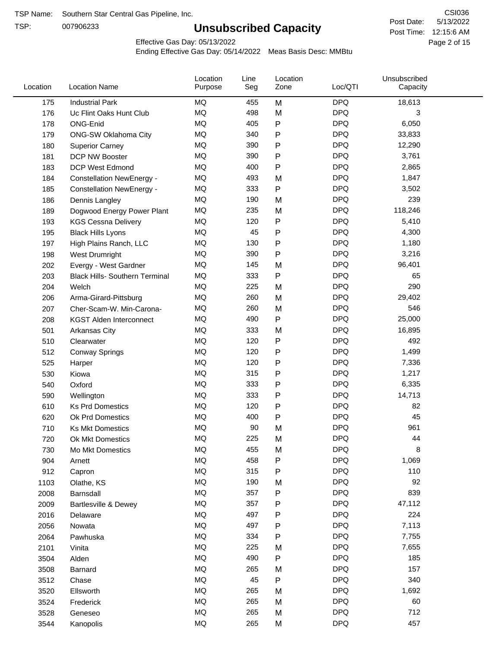TSP:

## **Unsubscribed Capacity**

5/13/2022 Page 2 of 15 Post Time: 12:15:6 AM CSI036 Post Date:

Effective Gas Day: 05/13/2022

| Location | <b>Location Name</b>                  | Location<br>Purpose | Line<br>Seg | Location<br>Zone | Loc/QTI    | Unsubscribed<br>Capacity |  |
|----------|---------------------------------------|---------------------|-------------|------------------|------------|--------------------------|--|
| 175      | <b>Industrial Park</b>                | MQ                  | 455         | M                | <b>DPQ</b> | 18,613                   |  |
| 176      | Uc Flint Oaks Hunt Club               | MQ                  | 498         | M                | <b>DPQ</b> | 3                        |  |
| 178      | ONG-Enid                              | MQ                  | 405         | ${\sf P}$        | <b>DPQ</b> | 6,050                    |  |
| 179      | <b>ONG-SW Oklahoma City</b>           | MQ                  | 340         | P                | <b>DPQ</b> | 33,833                   |  |
| 180      | <b>Superior Carney</b>                | MQ                  | 390         | $\mathsf{P}$     | <b>DPQ</b> | 12,290                   |  |
| 181      | DCP NW Booster                        | MQ                  | 390         | $\mathsf{P}$     | <b>DPQ</b> | 3,761                    |  |
| 183      | <b>DCP West Edmond</b>                | MQ                  | 400         | $\mathsf{P}$     | <b>DPQ</b> | 2,865                    |  |
| 184      | <b>Constellation NewEnergy -</b>      | MQ                  | 493         | M                | <b>DPQ</b> | 1,847                    |  |
| 185      | <b>Constellation NewEnergy -</b>      | MQ                  | 333         | P                | <b>DPQ</b> | 3,502                    |  |
| 186      | Dennis Langley                        | MQ                  | 190         | M                | <b>DPQ</b> | 239                      |  |
| 189      | Dogwood Energy Power Plant            | MQ                  | 235         | M                | <b>DPQ</b> | 118,246                  |  |
| 193      | <b>KGS Cessna Delivery</b>            | MQ                  | 120         | P                | <b>DPQ</b> | 5,410                    |  |
| 195      | <b>Black Hills Lyons</b>              | MQ                  | 45          | P                | <b>DPQ</b> | 4,300                    |  |
| 197      | High Plains Ranch, LLC                | MQ                  | 130         | P                | <b>DPQ</b> | 1,180                    |  |
| 198      | West Drumright                        | MQ                  | 390         | $\mathsf{P}$     | <b>DPQ</b> | 3,216                    |  |
| 202      | Evergy - West Gardner                 | MQ                  | 145         | M                | <b>DPQ</b> | 96,401                   |  |
| 203      | <b>Black Hills- Southern Terminal</b> | MQ                  | 333         | P                | <b>DPQ</b> | 65                       |  |
| 204      | Welch                                 | MQ                  | 225         | M                | <b>DPQ</b> | 290                      |  |
| 206      | Arma-Girard-Pittsburg                 | MQ                  | 260         | M                | <b>DPQ</b> | 29,402                   |  |
| 207      | Cher-Scam-W. Min-Carona-              | MQ                  | 260         | M                | <b>DPQ</b> | 546                      |  |
| 208      | <b>KGST Alden Interconnect</b>        | MQ                  | 490         | P                | <b>DPQ</b> | 25,000                   |  |
| 501      | <b>Arkansas City</b>                  | MQ                  | 333         | M                | <b>DPQ</b> | 16,895                   |  |
| 510      | Clearwater                            | MQ                  | 120         | P                | <b>DPQ</b> | 492                      |  |
| 512      | <b>Conway Springs</b>                 | MQ                  | 120         | $\mathsf{P}$     | <b>DPQ</b> | 1,499                    |  |
| 525      | Harper                                | MQ                  | 120         | $\mathsf{P}$     | <b>DPQ</b> | 7,336                    |  |
| 530      | Kiowa                                 | MQ                  | 315         | $\mathsf{P}$     | <b>DPQ</b> | 1,217                    |  |
| 540      | Oxford                                | MQ                  | 333         | $\mathsf{P}$     | <b>DPQ</b> | 6,335                    |  |
| 590      | Wellington                            | MQ                  | 333         | $\mathsf{P}$     | <b>DPQ</b> | 14,713                   |  |
| 610      | <b>Ks Prd Domestics</b>               | MQ                  | 120         | $\mathsf{P}$     | <b>DPQ</b> | 82                       |  |
| 620      | Ok Prd Domestics                      | MQ                  | 400         | P                | <b>DPQ</b> | 45                       |  |
| 710      | <b>Ks Mkt Domestics</b>               | MQ                  | 90          | M                | <b>DPQ</b> | 961                      |  |
| 720      | Ok Mkt Domestics                      | MQ                  | 225         | M                | <b>DPQ</b> | 44                       |  |
| 730      | Mo Mkt Domestics                      | MQ                  | 455         | M                | <b>DPQ</b> | 8                        |  |
| 904      | Arnett                                | MQ                  | 458         | $\mathsf{P}$     | <b>DPQ</b> | 1,069                    |  |
| 912      | Capron                                | MQ                  | 315         | P                | <b>DPQ</b> | 110                      |  |
| 1103     | Olathe, KS                            | MQ                  | 190         | M                | <b>DPQ</b> | 92                       |  |
| 2008     | Barnsdall                             | MQ                  | 357         | P                | <b>DPQ</b> | 839                      |  |
| 2009     | <b>Bartlesville &amp; Dewey</b>       | MQ                  | 357         | P                | <b>DPQ</b> | 47,112                   |  |
| 2016     | Delaware                              | MQ                  | 497         | P                | <b>DPQ</b> | 224                      |  |
| 2056     | Nowata                                | MQ                  | 497         | P                | <b>DPQ</b> | 7,113                    |  |
| 2064     | Pawhuska                              | MQ                  | 334         | P                | <b>DPQ</b> | 7,755                    |  |
| 2101     | Vinita                                | MQ                  | 225         | M                | <b>DPQ</b> | 7,655                    |  |
| 3504     | Alden                                 | MQ                  | 490         | P                | <b>DPQ</b> | 185                      |  |
| 3508     | Barnard                               | $\sf{MQ}$           | 265         | M                | <b>DPQ</b> | 157                      |  |
| 3512     | Chase                                 | MQ                  | 45          | P                | <b>DPQ</b> | 340                      |  |
| 3520     | Ellsworth                             | MQ                  | 265         | M                | <b>DPQ</b> | 1,692                    |  |
| 3524     | Frederick                             | MQ                  | 265         | M                | <b>DPQ</b> | 60                       |  |
| 3528     | Geneseo                               | MQ                  | 265         | M                | <b>DPQ</b> | 712                      |  |
| 3544     | Kanopolis                             | $\sf{MQ}$           | 265         | M                | <b>DPQ</b> | 457                      |  |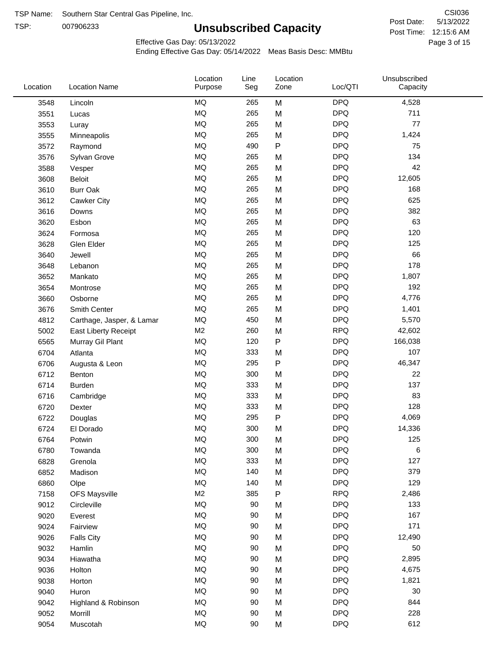TSP: 

## **Unsubscribed Capacity**

5/13/2022 Page 3 of 15 Post Time: 12:15:6 AM CSI036 Post Date:

Effective Gas Day: 05/13/2022

| Location | <b>Location Name</b>      | Location<br>Purpose | Line<br>Seg | Location<br>Zone | Loc/QTI    | Unsubscribed<br>Capacity |  |
|----------|---------------------------|---------------------|-------------|------------------|------------|--------------------------|--|
| 3548     | Lincoln                   | <b>MQ</b>           | 265         | M                | <b>DPQ</b> | 4,528                    |  |
| 3551     | Lucas                     | <b>MQ</b>           | 265         | M                | <b>DPQ</b> | 711                      |  |
| 3553     | Luray                     | <b>MQ</b>           | 265         | M                | <b>DPQ</b> | 77                       |  |
| 3555     | Minneapolis               | <b>MQ</b>           | 265         | M                | <b>DPQ</b> | 1,424                    |  |
| 3572     | Raymond                   | <b>MQ</b>           | 490         | P                | <b>DPQ</b> | 75                       |  |
| 3576     | Sylvan Grove              | <b>MQ</b>           | 265         | M                | <b>DPQ</b> | 134                      |  |
| 3588     | Vesper                    | <b>MQ</b>           | 265         | M                | <b>DPQ</b> | 42                       |  |
| 3608     | <b>Beloit</b>             | <b>MQ</b>           | 265         | M                | <b>DPQ</b> | 12,605                   |  |
| 3610     | <b>Burr Oak</b>           | <b>MQ</b>           | 265         | M                | <b>DPQ</b> | 168                      |  |
| 3612     | Cawker City               | <b>MQ</b>           | 265         | M                | <b>DPQ</b> | 625                      |  |
| 3616     | Downs                     | <b>MQ</b>           | 265         | M                | <b>DPQ</b> | 382                      |  |
| 3620     | Esbon                     | <b>MQ</b>           | 265         | M                | <b>DPQ</b> | 63                       |  |
| 3624     | Formosa                   | <b>MQ</b>           | 265         | M                | <b>DPQ</b> | 120                      |  |
| 3628     | Glen Elder                | <b>MQ</b>           | 265         | M                | <b>DPQ</b> | 125                      |  |
| 3640     | Jewell                    | <b>MQ</b>           | 265         | M                | <b>DPQ</b> | 66                       |  |
| 3648     | Lebanon                   | <b>MQ</b>           | 265         | M                | <b>DPQ</b> | 178                      |  |
| 3652     | Mankato                   | <b>MQ</b>           | 265         | M                | <b>DPQ</b> | 1,807                    |  |
| 3654     | Montrose                  | <b>MQ</b>           | 265         | M                | <b>DPQ</b> | 192                      |  |
| 3660     | Osborne                   | <b>MQ</b>           | 265         | M                | <b>DPQ</b> | 4,776                    |  |
| 3676     | Smith Center              | <b>MQ</b>           | 265         | M                | <b>DPQ</b> | 1,401                    |  |
| 4812     | Carthage, Jasper, & Lamar | <b>MQ</b>           | 450         | M                | <b>DPQ</b> | 5,570                    |  |
| 5002     | East Liberty Receipt      | M <sub>2</sub>      | 260         | M                | <b>RPQ</b> | 42,602                   |  |
| 6565     | Murray Gil Plant          | <b>MQ</b>           | 120         | $\mathsf{P}$     | <b>DPQ</b> | 166,038                  |  |
| 6704     | Atlanta                   | <b>MQ</b>           | 333         | M                | <b>DPQ</b> | 107                      |  |
| 6706     | Augusta & Leon            | <b>MQ</b>           | 295         | P                | <b>DPQ</b> | 46,347                   |  |
| 6712     | Benton                    | <b>MQ</b>           | 300         | M                | <b>DPQ</b> | 22                       |  |
| 6714     | Burden                    | <b>MQ</b>           | 333         | M                | <b>DPQ</b> | 137                      |  |
| 6716     | Cambridge                 | MQ                  | 333         | M                | <b>DPQ</b> | 83                       |  |
| 6720     | Dexter                    | MQ                  | 333         | M                | <b>DPQ</b> | 128                      |  |
| 6722     | Douglas                   | <b>MQ</b>           | 295         | P                | <b>DPQ</b> | 4,069                    |  |
| 6724     | El Dorado                 | <b>MQ</b>           | 300         | M                | <b>DPQ</b> | 14,336                   |  |
| 6764     | Potwin                    | <b>MQ</b>           | 300         | M                | <b>DPQ</b> | 125                      |  |
| 6780     | Towanda                   | MQ                  | 300         | M                | <b>DPQ</b> | 6                        |  |
| 6828     | Grenola                   | MQ                  | 333         | M                | <b>DPQ</b> | 127                      |  |
| 6852     | Madison                   | MQ                  | 140         | M                | <b>DPQ</b> | 379                      |  |
| 6860     | Olpe                      | MQ                  | 140         | M                | <b>DPQ</b> | 129                      |  |
| 7158     | <b>OFS Maysville</b>      | M <sub>2</sub>      | 385         | P                | <b>RPQ</b> | 2,486                    |  |
| 9012     | Circleville               | <b>MQ</b>           | 90          | M                | <b>DPQ</b> | 133                      |  |
| 9020     | Everest                   | $\sf{MQ}$           | 90          | M                | <b>DPQ</b> | 167                      |  |
| 9024     | Fairview                  | $\sf{MQ}$           | 90          | M                | <b>DPQ</b> | 171                      |  |
| 9026     | <b>Falls City</b>         | MQ                  | 90          | M                | <b>DPQ</b> | 12,490                   |  |
| 9032     | Hamlin                    | MQ                  | 90          | M                | <b>DPQ</b> | 50                       |  |
| 9034     | Hiawatha                  | MQ                  | 90          | M                | <b>DPQ</b> | 2,895                    |  |
| 9036     | Holton                    | MQ                  | 90          | M                | <b>DPQ</b> | 4,675                    |  |
| 9038     | Horton                    | MQ                  | 90          | M                | <b>DPQ</b> | 1,821                    |  |
| 9040     | Huron                     | MQ                  | 90          | M                | <b>DPQ</b> | 30                       |  |
| 9042     | Highland & Robinson       | MQ                  | 90          | M                | <b>DPQ</b> | 844                      |  |
| 9052     | Morrill                   | $\sf{MQ}$           | 90          | M                | <b>DPQ</b> | 228                      |  |
| 9054     | Muscotah                  | $\sf{MQ}$           | 90          | M                | <b>DPQ</b> | 612                      |  |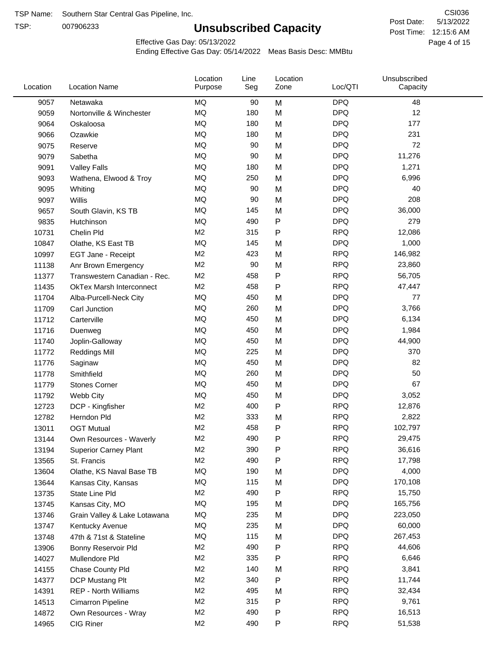TSP:

## **Unsubscribed Capacity**

5/13/2022 Page 4 of 15 Post Time: 12:15:6 AM CSI036 Post Date:

Effective Gas Day: 05/13/2022

| Location | <b>Location Name</b>            | Location<br>Purpose | Line<br>Seg | Location<br>Zone | Loc/QTI    | Unsubscribed<br>Capacity |  |
|----------|---------------------------------|---------------------|-------------|------------------|------------|--------------------------|--|
| 9057     | Netawaka                        | <b>MQ</b>           | 90          | M                | <b>DPQ</b> | 48                       |  |
| 9059     | Nortonville & Winchester        | MQ                  | 180         | M                | <b>DPQ</b> | 12                       |  |
| 9064     | Oskaloosa                       | MQ                  | 180         | M                | <b>DPQ</b> | 177                      |  |
| 9066     | Ozawkie                         | MQ                  | 180         | M                | <b>DPQ</b> | 231                      |  |
| 9075     | Reserve                         | <b>MQ</b>           | 90          | M                | <b>DPQ</b> | 72                       |  |
| 9079     | Sabetha                         | <b>MQ</b>           | 90          | M                | <b>DPQ</b> | 11,276                   |  |
| 9091     | <b>Valley Falls</b>             | <b>MQ</b>           | 180         | M                | <b>DPQ</b> | 1,271                    |  |
| 9093     | Wathena, Elwood & Troy          | <b>MQ</b>           | 250         | M                | <b>DPQ</b> | 6,996                    |  |
| 9095     | Whiting                         | MQ                  | 90          | M                | <b>DPQ</b> | 40                       |  |
| 9097     | Willis                          | <b>MQ</b>           | 90          | M                | <b>DPQ</b> | 208                      |  |
| 9657     | South Glavin, KS TB             | MQ                  | 145         | M                | <b>DPQ</b> | 36,000                   |  |
| 9835     | Hutchinson                      | MQ                  | 490         | P                | <b>DPQ</b> | 279                      |  |
| 10731    | Chelin Pld                      | M <sub>2</sub>      | 315         | P                | <b>RPQ</b> | 12,086                   |  |
| 10847    | Olathe, KS East TB              | <b>MQ</b>           | 145         | M                | <b>DPQ</b> | 1,000                    |  |
| 10997    | EGT Jane - Receipt              | M <sub>2</sub>      | 423         | M                | <b>RPQ</b> | 146,982                  |  |
| 11138    | Anr Brown Emergency             | M <sub>2</sub>      | 90          | M                | <b>RPQ</b> | 23,860                   |  |
| 11377    | Transwestern Canadian - Rec.    | M <sub>2</sub>      | 458         | P                | <b>RPQ</b> | 56,705                   |  |
| 11435    | <b>OkTex Marsh Interconnect</b> | M <sub>2</sub>      | 458         | P                | <b>RPQ</b> | 47,447                   |  |
| 11704    | Alba-Purcell-Neck City          | MQ                  | 450         | M                | <b>DPQ</b> | 77                       |  |
| 11709    | Carl Junction                   | MQ                  | 260         | M                | <b>DPQ</b> | 3,766                    |  |
| 11712    | Carterville                     | <b>MQ</b>           | 450         | M                | <b>DPQ</b> | 6,134                    |  |
| 11716    | Duenweg                         | MQ                  | 450         | M                | <b>DPQ</b> | 1,984                    |  |
| 11740    | Joplin-Galloway                 | <b>MQ</b>           | 450         | M                | <b>DPQ</b> | 44,900                   |  |
| 11772    | <b>Reddings Mill</b>            | <b>MQ</b>           | 225         | M                | <b>DPQ</b> | 370                      |  |
| 11776    | Saginaw                         | <b>MQ</b>           | 450         | M                | <b>DPQ</b> | 82                       |  |
| 11778    | Smithfield                      | MQ                  | 260         | M                | <b>DPQ</b> | 50                       |  |
| 11779    | <b>Stones Corner</b>            | MQ                  | 450         | M                | <b>DPQ</b> | 67                       |  |
| 11792    | Webb City                       | <b>MQ</b>           | 450         | M                | <b>DPQ</b> | 3,052                    |  |
| 12723    | DCP - Kingfisher                | M <sub>2</sub>      | 400         | P                | <b>RPQ</b> | 12,876                   |  |
| 12782    | Herndon Pld                     | M <sub>2</sub>      | 333         | M                | <b>RPQ</b> | 2,822                    |  |
| 13011    | <b>OGT Mutual</b>               | M <sub>2</sub>      | 458         | P                | <b>RPQ</b> | 102,797                  |  |
| 13144    | Own Resources - Waverly         | M <sub>2</sub>      | 490         | P                | <b>RPQ</b> | 29,475                   |  |
| 13194    | <b>Superior Carney Plant</b>    | M2                  | 390         | P                | <b>RPQ</b> | 36,616                   |  |
| 13565    | St. Francis                     | M2                  | 490         | Ρ                | <b>RPQ</b> | 17,798                   |  |
| 13604    | Olathe, KS Naval Base TB        | MQ                  | 190         | M                | <b>DPQ</b> | 4,000                    |  |
| 13644    | Kansas City, Kansas             | MQ                  | 115         | M                | <b>DPQ</b> | 170,108                  |  |
| 13735    | State Line Pld                  | M2                  | 490         | P                | <b>RPQ</b> | 15,750                   |  |
| 13745    | Kansas City, MO                 | MQ                  | 195         | M                | <b>DPQ</b> | 165,756                  |  |
| 13746    | Grain Valley & Lake Lotawana    | MQ                  | 235         | M                | <b>DPQ</b> | 223,050                  |  |
| 13747    | Kentucky Avenue                 | MQ                  | 235         | M                | <b>DPQ</b> | 60,000                   |  |
| 13748    | 47th & 71st & Stateline         | MQ                  | 115         | M                | <b>DPQ</b> | 267,453                  |  |
| 13906    | Bonny Reservoir Pld             | M2                  | 490         | P                | <b>RPQ</b> | 44,606                   |  |
| 14027    | Mullendore Pld                  | M2                  | 335         | Ρ                | <b>RPQ</b> | 6,646                    |  |
| 14155    | Chase County Pld                | M2                  | 140         | M                | <b>RPQ</b> | 3,841                    |  |
| 14377    | DCP Mustang Plt                 | M <sub>2</sub>      | 340         | P                | <b>RPQ</b> | 11,744                   |  |
| 14391    | <b>REP - North Williams</b>     | M2                  | 495         | M                | <b>RPQ</b> | 32,434                   |  |
| 14513    | Cimarron Pipeline               | M2                  | 315         | ${\sf P}$        | <b>RPQ</b> | 9,761                    |  |
| 14872    | Own Resources - Wray            | M <sub>2</sub>      | 490         | P                | <b>RPQ</b> | 16,513                   |  |
| 14965    | CIG Riner                       | M <sub>2</sub>      | 490         | P                | <b>RPQ</b> | 51,538                   |  |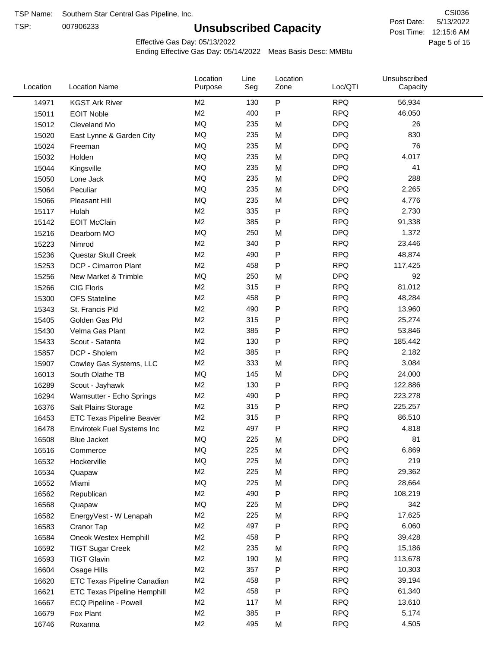TSP:

## **Unsubscribed Capacity**

5/13/2022 Page 5 of 15 Post Time: 12:15:6 AM CSI036 Post Date:

Effective Gas Day: 05/13/2022

| Location | <b>Location Name</b>               | Location<br>Purpose | Line<br>Seg | Location<br>Zone | Loc/QTI    | Unsubscribed<br>Capacity |  |
|----------|------------------------------------|---------------------|-------------|------------------|------------|--------------------------|--|
| 14971    | <b>KGST Ark River</b>              | M <sub>2</sub>      | 130         | $\mathsf{P}$     | <b>RPQ</b> | 56,934                   |  |
| 15011    | <b>EOIT Noble</b>                  | M <sub>2</sub>      | 400         | $\mathsf{P}$     | <b>RPQ</b> | 46,050                   |  |
| 15012    | Cleveland Mo                       | MQ                  | 235         | M                | <b>DPQ</b> | 26                       |  |
| 15020    | East Lynne & Garden City           | MQ                  | 235         | M                | <b>DPQ</b> | 830                      |  |
| 15024    | Freeman                            | MQ                  | 235         | M                | <b>DPQ</b> | 76                       |  |
| 15032    | Holden                             | MQ                  | 235         | M                | <b>DPQ</b> | 4,017                    |  |
| 15044    | Kingsville                         | MQ                  | 235         | M                | <b>DPQ</b> | 41                       |  |
| 15050    | Lone Jack                          | MQ                  | 235         | M                | <b>DPQ</b> | 288                      |  |
| 15064    | Peculiar                           | MQ                  | 235         | M                | <b>DPQ</b> | 2,265                    |  |
| 15066    | Pleasant Hill                      | MQ                  | 235         | M                | <b>DPQ</b> | 4,776                    |  |
| 15117    | Hulah                              | M <sub>2</sub>      | 335         | ${\sf P}$        | <b>RPQ</b> | 2,730                    |  |
| 15142    | <b>EOIT McClain</b>                | M <sub>2</sub>      | 385         | $\mathsf{P}$     | <b>RPQ</b> | 91,338                   |  |
| 15216    | Dearborn MO                        | <b>MQ</b>           | 250         | M                | <b>DPQ</b> | 1,372                    |  |
| 15223    | Nimrod                             | M <sub>2</sub>      | 340         | ${\sf P}$        | <b>RPQ</b> | 23,446                   |  |
| 15236    | Questar Skull Creek                | M <sub>2</sub>      | 490         | $\mathsf{P}$     | <b>RPQ</b> | 48,874                   |  |
| 15253    | DCP - Cimarron Plant               | M <sub>2</sub>      | 458         | $\mathsf{P}$     | <b>RPQ</b> | 117,425                  |  |
| 15256    | New Market & Trimble               | MQ                  | 250         | M                | <b>DPQ</b> | 92                       |  |
| 15266    | <b>CIG Floris</b>                  | M <sub>2</sub>      | 315         | $\mathsf{P}$     | <b>RPQ</b> | 81,012                   |  |
| 15300    | <b>OFS</b> Stateline               | M <sub>2</sub>      | 458         | P                | <b>RPQ</b> | 48,284                   |  |
| 15343    | St. Francis Pld                    | M <sub>2</sub>      | 490         | P                | <b>RPQ</b> | 13,960                   |  |
| 15405    | Golden Gas Pld                     | M <sub>2</sub>      | 315         | $\mathsf{P}$     | <b>RPQ</b> | 25,274                   |  |
| 15430    | Velma Gas Plant                    | M <sub>2</sub>      | 385         | $\mathsf{P}$     | <b>RPQ</b> | 53,846                   |  |
| 15433    | Scout - Satanta                    | M <sub>2</sub>      | 130         | ${\sf P}$        | <b>RPQ</b> | 185,442                  |  |
| 15857    | DCP - Sholem                       | M <sub>2</sub>      | 385         | $\mathsf{P}$     | <b>RPQ</b> | 2,182                    |  |
| 15907    | Cowley Gas Systems, LLC            | M <sub>2</sub>      | 333         | M                | <b>RPQ</b> | 3,084                    |  |
| 16013    | South Olathe TB                    | MQ                  | 145         | M                | <b>DPQ</b> | 24,000                   |  |
| 16289    | Scout - Jayhawk                    | M <sub>2</sub>      | 130         | ${\sf P}$        | <b>RPQ</b> | 122,886                  |  |
| 16294    | Wamsutter - Echo Springs           | M <sub>2</sub>      | 490         | P                | <b>RPQ</b> | 223,278                  |  |
| 16376    | Salt Plains Storage                | M <sub>2</sub>      | 315         | P                | <b>RPQ</b> | 225,257                  |  |
| 16453    | <b>ETC Texas Pipeline Beaver</b>   | M <sub>2</sub>      | 315         | ${\sf P}$        | <b>RPQ</b> | 86,510                   |  |
| 16478    | Envirotek Fuel Systems Inc         | M <sub>2</sub>      | 497         | P                | <b>RPQ</b> | 4,818                    |  |
| 16508    | Blue Jacket                        | MQ                  | 225         | M                | <b>DPQ</b> | 81                       |  |
| 16516    | Commerce                           | MQ                  | 225         | M                | <b>DPQ</b> | 6,869                    |  |
| 16532    | Hockerville                        | MQ                  | 225         | M                | <b>DPQ</b> | 219                      |  |
| 16534    | Quapaw                             | M <sub>2</sub>      | 225         | M                | <b>RPQ</b> | 29,362                   |  |
| 16552    | Miami                              | MQ                  | 225         | M                | <b>DPQ</b> | 28,664                   |  |
| 16562    | Republican                         | M <sub>2</sub>      | 490         | ${\sf P}$        | <b>RPQ</b> | 108,219                  |  |
| 16568    | Quapaw                             | MQ                  | 225         | M                | <b>DPQ</b> | 342                      |  |
| 16582    | EnergyVest - W Lenapah             | M <sub>2</sub>      | 225         | M                | <b>RPQ</b> | 17,625                   |  |
| 16583    | Cranor Tap                         | M <sub>2</sub>      | 497         | P                | <b>RPQ</b> | 6,060                    |  |
| 16584    | Oneok Westex Hemphill              | M <sub>2</sub>      | 458         | P                | <b>RPQ</b> | 39,428                   |  |
| 16592    | <b>TIGT Sugar Creek</b>            | M <sub>2</sub>      | 235         | M                | <b>RPQ</b> | 15,186                   |  |
| 16593    | <b>TIGT Glavin</b>                 | M <sub>2</sub>      | 190         | M                | <b>RPQ</b> | 113,678                  |  |
| 16604    | Osage Hills                        | M <sub>2</sub>      | 357         | ${\sf P}$        | <b>RPQ</b> | 10,303                   |  |
| 16620    | ETC Texas Pipeline Canadian        | M <sub>2</sub>      | 458         | $\mathsf{P}$     | <b>RPQ</b> | 39,194                   |  |
| 16621    | <b>ETC Texas Pipeline Hemphill</b> | M <sub>2</sub>      | 458         | $\mathsf{P}$     | <b>RPQ</b> | 61,340                   |  |
| 16667    | ECQ Pipeline - Powell              | M <sub>2</sub>      | 117         | M                | <b>RPQ</b> | 13,610                   |  |
| 16679    | Fox Plant                          | M <sub>2</sub>      | 385         | P                | <b>RPQ</b> | 5,174                    |  |
| 16746    | Roxanna                            | M <sub>2</sub>      | 495         | M                | <b>RPQ</b> | 4,505                    |  |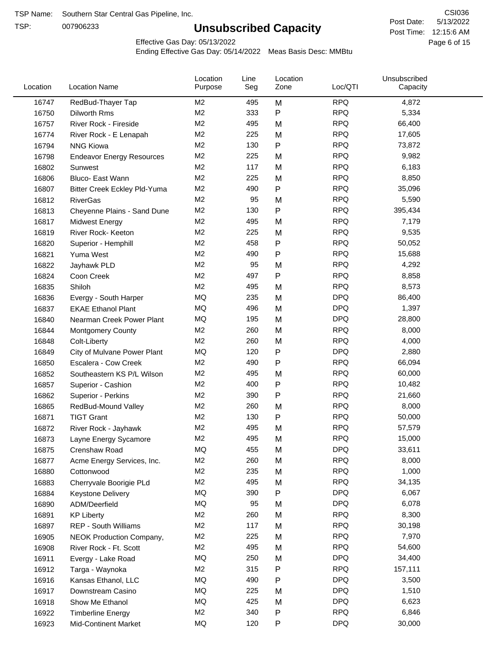TSP:

## **Unsubscribed Capacity**

5/13/2022 Page 6 of 15 Post Time: 12:15:6 AM CSI036 Post Date:

Effective Gas Day: 05/13/2022

| Location | <b>Location Name</b>             | Location<br>Purpose | Line<br>Seg | Location<br>Zone | Loc/QTI    | Unsubscribed<br>Capacity |  |
|----------|----------------------------------|---------------------|-------------|------------------|------------|--------------------------|--|
| 16747    | RedBud-Thayer Tap                | M <sub>2</sub>      | 495         | M                | <b>RPQ</b> | 4,872                    |  |
| 16750    | <b>Dilworth Rms</b>              | M <sub>2</sub>      | 333         | $\mathsf{P}$     | <b>RPQ</b> | 5,334                    |  |
| 16757    | River Rock - Fireside            | M <sub>2</sub>      | 495         | M                | <b>RPQ</b> | 66,400                   |  |
| 16774    | River Rock - E Lenapah           | M <sub>2</sub>      | 225         | M                | <b>RPQ</b> | 17,605                   |  |
| 16794    | <b>NNG Kiowa</b>                 | M <sub>2</sub>      | 130         | $\mathsf{P}$     | <b>RPQ</b> | 73,872                   |  |
| 16798    | <b>Endeavor Energy Resources</b> | M <sub>2</sub>      | 225         | M                | <b>RPQ</b> | 9,982                    |  |
| 16802    | Sunwest                          | M <sub>2</sub>      | 117         | M                | <b>RPQ</b> | 6,183                    |  |
| 16806    | Bluco- East Wann                 | M <sub>2</sub>      | 225         | M                | <b>RPQ</b> | 8,850                    |  |
| 16807    | Bitter Creek Eckley Pld-Yuma     | M <sub>2</sub>      | 490         | $\mathsf{P}$     | <b>RPQ</b> | 35,096                   |  |
| 16812    | <b>RiverGas</b>                  | M <sub>2</sub>      | 95          | M                | <b>RPQ</b> | 5,590                    |  |
| 16813    | Cheyenne Plains - Sand Dune      | M <sub>2</sub>      | 130         | $\mathsf{P}$     | <b>RPQ</b> | 395,434                  |  |
| 16817    | <b>Midwest Energy</b>            | M <sub>2</sub>      | 495         | M                | <b>RPQ</b> | 7,179                    |  |
| 16819    | River Rock- Keeton               | M <sub>2</sub>      | 225         | M                | <b>RPQ</b> | 9,535                    |  |
| 16820    | Superior - Hemphill              | M <sub>2</sub>      | 458         | $\mathsf{P}$     | <b>RPQ</b> | 50,052                   |  |
| 16821    | Yuma West                        | M <sub>2</sub>      | 490         | $\mathsf{P}$     | <b>RPQ</b> | 15,688                   |  |
| 16822    | Jayhawk PLD                      | M <sub>2</sub>      | 95          | M                | <b>RPQ</b> | 4,292                    |  |
| 16824    | Coon Creek                       | M <sub>2</sub>      | 497         | $\mathsf{P}$     | <b>RPQ</b> | 8,858                    |  |
| 16835    | Shiloh                           | M <sub>2</sub>      | 495         | M                | <b>RPQ</b> | 8,573                    |  |
| 16836    | Evergy - South Harper            | MQ                  | 235         | M                | <b>DPQ</b> | 86,400                   |  |
| 16837    | <b>EKAE Ethanol Plant</b>        | MQ                  | 496         | M                | <b>DPQ</b> | 1,397                    |  |
| 16840    | Nearman Creek Power Plant        | MQ                  | 195         | M                | <b>DPQ</b> | 28,800                   |  |
| 16844    | <b>Montgomery County</b>         | M <sub>2</sub>      | 260         | M                | <b>RPQ</b> | 8,000                    |  |
| 16848    | Colt-Liberty                     | M <sub>2</sub>      | 260         | M                | <b>RPQ</b> | 4,000                    |  |
| 16849    | City of Mulvane Power Plant      | MQ                  | 120         | ${\sf P}$        | <b>DPQ</b> | 2,880                    |  |
| 16850    | Escalera - Cow Creek             | M <sub>2</sub>      | 490         | $\mathsf{P}$     | <b>RPQ</b> | 66,094                   |  |
| 16852    | Southeastern KS P/L Wilson       | M <sub>2</sub>      | 495         | M                | <b>RPQ</b> | 60,000                   |  |
| 16857    | Superior - Cashion               | M <sub>2</sub>      | 400         | $\mathsf{P}$     | <b>RPQ</b> | 10,482                   |  |
| 16862    | Superior - Perkins               | M <sub>2</sub>      | 390         | $\mathsf{P}$     | <b>RPQ</b> | 21,660                   |  |
| 16865    | RedBud-Mound Valley              | M <sub>2</sub>      | 260         | M                | <b>RPQ</b> | 8,000                    |  |
| 16871    | <b>TIGT Grant</b>                | M <sub>2</sub>      | 130         | $\mathsf{P}$     | <b>RPQ</b> | 50,000                   |  |
| 16872    | River Rock - Jayhawk             | M <sub>2</sub>      | 495         | M                | <b>RPQ</b> | 57,579                   |  |
| 16873    | Layne Energy Sycamore            | M <sub>2</sub>      | 495         | M                | <b>RPQ</b> | 15,000                   |  |
| 16875    | Crenshaw Road                    | MQ                  | 455         | M                | <b>DPQ</b> | 33,611                   |  |
| 16877    | Acme Energy Services, Inc.       | M <sub>2</sub>      | 260         | M                | <b>RPQ</b> | 8,000                    |  |
| 16880    | Cottonwood                       | M <sub>2</sub>      | 235         | M                | <b>RPQ</b> | 1,000                    |  |
| 16883    | Cherryvale Boorigie PLd          | M <sub>2</sub>      | 495         | M                | <b>RPQ</b> | 34,135                   |  |
| 16884    | <b>Keystone Delivery</b>         | MQ                  | 390         | P                | <b>DPQ</b> | 6,067                    |  |
| 16890    | ADM/Deerfield                    | MQ                  | 95          | M                | <b>DPQ</b> | 6,078                    |  |
| 16891    | <b>KP Liberty</b>                | M <sub>2</sub>      | 260         | M                | <b>RPQ</b> | 8,300                    |  |
| 16897    | REP - South Williams             | M <sub>2</sub>      | 117         | M                | <b>RPQ</b> | 30,198                   |  |
| 16905    | <b>NEOK Production Company,</b>  | M <sub>2</sub>      | 225         | M                | <b>RPQ</b> | 7,970                    |  |
| 16908    | River Rock - Ft. Scott           | M <sub>2</sub>      | 495         | M                | <b>RPQ</b> | 54,600                   |  |
| 16911    | Evergy - Lake Road               | MQ                  | 250         | M                | <b>DPQ</b> | 34,400                   |  |
| 16912    | Targa - Waynoka                  | M <sub>2</sub>      | 315         | P                | <b>RPQ</b> | 157,111                  |  |
| 16916    | Kansas Ethanol, LLC              | MQ                  | 490         | $\mathsf{P}$     | <b>DPQ</b> | 3,500                    |  |
| 16917    | Downstream Casino                | MQ                  | 225         | M                | <b>DPQ</b> | 1,510                    |  |
| 16918    | Show Me Ethanol                  | MQ                  | 425         | M                | <b>DPQ</b> | 6,623                    |  |
| 16922    | <b>Timberline Energy</b>         | M <sub>2</sub>      | 340         | ${\sf P}$        | <b>RPQ</b> | 6,846                    |  |
| 16923    | <b>Mid-Continent Market</b>      | MQ                  | 120         | P                | <b>DPQ</b> | 30,000                   |  |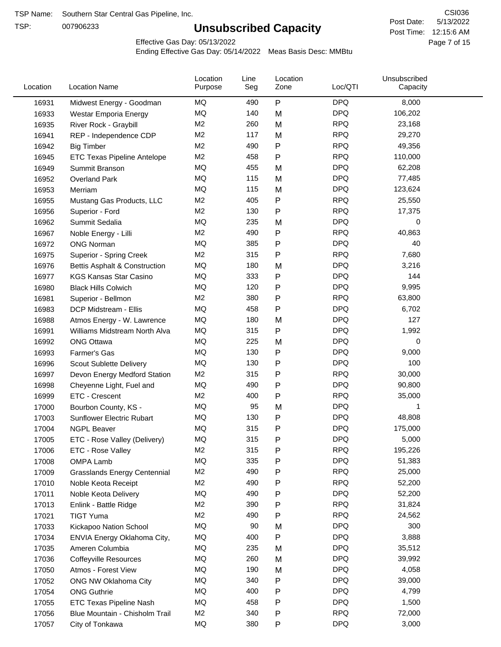TSP:

## **Unsubscribed Capacity**

5/13/2022 Page 7 of 15 Post Time: 12:15:6 AM CSI036 Post Date:

Effective Gas Day: 05/13/2022

| Location | <b>Location Name</b>                | Location<br>Purpose | Line<br>Seg | Location<br>Zone | Loc/QTI    | Unsubscribed<br>Capacity |  |
|----------|-------------------------------------|---------------------|-------------|------------------|------------|--------------------------|--|
| 16931    | Midwest Energy - Goodman            | MQ                  | 490         | P                | <b>DPQ</b> | 8,000                    |  |
| 16933    | Westar Emporia Energy               | MQ                  | 140         | M                | <b>DPQ</b> | 106,202                  |  |
| 16935    | River Rock - Graybill               | M <sub>2</sub>      | 260         | M                | <b>RPQ</b> | 23,168                   |  |
| 16941    | REP - Independence CDP              | M <sub>2</sub>      | 117         | M                | <b>RPQ</b> | 29,270                   |  |
| 16942    | <b>Big Timber</b>                   | M <sub>2</sub>      | 490         | $\mathsf{P}$     | <b>RPQ</b> | 49,356                   |  |
| 16945    | <b>ETC Texas Pipeline Antelope</b>  | M <sub>2</sub>      | 458         | $\mathsf{P}$     | <b>RPQ</b> | 110,000                  |  |
| 16949    | Summit Branson                      | MQ                  | 455         | M                | <b>DPQ</b> | 62,208                   |  |
| 16952    | <b>Overland Park</b>                | MQ                  | 115         | M                | <b>DPQ</b> | 77,485                   |  |
| 16953    | Merriam                             | MQ                  | 115         | M                | <b>DPQ</b> | 123,624                  |  |
| 16955    | Mustang Gas Products, LLC           | M <sub>2</sub>      | 405         | P                | <b>RPQ</b> | 25,550                   |  |
| 16956    | Superior - Ford                     | M <sub>2</sub>      | 130         | $\mathsf{P}$     | <b>RPQ</b> | 17,375                   |  |
| 16962    | Summit Sedalia                      | MQ                  | 235         | M                | <b>DPQ</b> | 0                        |  |
| 16967    | Noble Energy - Lilli                | M <sub>2</sub>      | 490         | P                | <b>RPQ</b> | 40,863                   |  |
| 16972    | <b>ONG Norman</b>                   | MQ                  | 385         | P                | <b>DPQ</b> | 40                       |  |
| 16975    | Superior - Spring Creek             | M <sub>2</sub>      | 315         | P                | <b>RPQ</b> | 7,680                    |  |
| 16976    | Bettis Asphalt & Construction       | MQ                  | 180         | M                | <b>DPQ</b> | 3,216                    |  |
| 16977    | <b>KGS Kansas Star Casino</b>       | MQ                  | 333         | ${\sf P}$        | <b>DPQ</b> | 144                      |  |
| 16980    | <b>Black Hills Colwich</b>          | MQ                  | 120         | P                | <b>DPQ</b> | 9,995                    |  |
| 16981    | Superior - Bellmon                  | M <sub>2</sub>      | 380         | P                | <b>RPQ</b> | 63,800                   |  |
| 16983    | DCP Midstream - Ellis               | MQ                  | 458         | $\mathsf{P}$     | <b>DPQ</b> | 6,702                    |  |
| 16988    | Atmos Energy - W. Lawrence          | MQ                  | 180         | M                | <b>DPQ</b> | 127                      |  |
| 16991    | Williams Midstream North Alva       | <b>MQ</b>           | 315         | $\mathsf{P}$     | <b>DPQ</b> | 1,992                    |  |
| 16992    | <b>ONG Ottawa</b>                   | MQ                  | 225         | M                | <b>DPQ</b> | 0                        |  |
| 16993    | Farmer's Gas                        | MQ                  | 130         | $\mathsf{P}$     | <b>DPQ</b> | 9,000                    |  |
| 16996    | Scout Sublette Delivery             | MQ                  | 130         | $\mathsf{P}$     | <b>DPQ</b> | 100                      |  |
| 16997    | Devon Energy Medford Station        | M <sub>2</sub>      | 315         | P                | <b>RPQ</b> | 30,000                   |  |
| 16998    | Cheyenne Light, Fuel and            | MQ                  | 490         | P                | <b>DPQ</b> | 90,800                   |  |
| 16999    | ETC - Crescent                      | M <sub>2</sub>      | 400         | P                | <b>RPQ</b> | 35,000                   |  |
| 17000    | Bourbon County, KS -                | MQ                  | 95          | M                | <b>DPQ</b> | 1                        |  |
| 17003    | Sunflower Electric Rubart           | MQ                  | 130         | P                | <b>DPQ</b> | 48,808                   |  |
| 17004    | <b>NGPL Beaver</b>                  | MQ                  | 315         | P                | <b>DPQ</b> | 175,000                  |  |
| 17005    | ETC - Rose Valley (Delivery)        | MQ                  | 315         | P                | <b>DPQ</b> | 5,000                    |  |
| 17006    | ETC - Rose Valley                   | M <sub>2</sub>      | 315         | P                | <b>RPQ</b> | 195,226                  |  |
| 17008    | OMPA Lamb                           | MQ                  | 335         | P                | <b>DPQ</b> | 51,383                   |  |
| 17009    | <b>Grasslands Energy Centennial</b> | M <sub>2</sub>      | 490         | P                | <b>RPQ</b> | 25,000                   |  |
| 17010    | Noble Keota Receipt                 | M <sub>2</sub>      | 490         | P                | <b>RPQ</b> | 52,200                   |  |
| 17011    | Noble Keota Delivery                | MQ                  | 490         | P                | <b>DPQ</b> | 52,200                   |  |
| 17013    | Enlink - Battle Ridge               | M <sub>2</sub>      | 390         | $\mathsf{P}$     | <b>RPQ</b> | 31,824                   |  |
| 17021    | <b>TIGT Yuma</b>                    | M <sub>2</sub>      | 490         | P                | <b>RPQ</b> | 24,562                   |  |
| 17033    | Kickapoo Nation School              | MQ                  | 90          | M                | <b>DPQ</b> | 300                      |  |
| 17034    | ENVIA Energy Oklahoma City,         | MQ                  | 400         | P                | <b>DPQ</b> | 3,888                    |  |
| 17035    | Ameren Columbia                     | MQ                  | 235         | M                | <b>DPQ</b> | 35,512                   |  |
| 17036    | <b>Coffeyville Resources</b>        | MQ                  | 260         | M                | <b>DPQ</b> | 39,992                   |  |
| 17050    | Atmos - Forest View                 | MQ                  | 190         | M                | <b>DPQ</b> | 4,058                    |  |
| 17052    | ONG NW Oklahoma City                | MQ                  | 340         | ${\sf P}$        | <b>DPQ</b> | 39,000                   |  |
| 17054    | <b>ONG Guthrie</b>                  | MQ                  | 400         | P                | <b>DPQ</b> | 4,799                    |  |
| 17055    | ETC Texas Pipeline Nash             | MQ                  | 458         | $\mathsf{P}$     | <b>DPQ</b> | 1,500                    |  |
| 17056    | Blue Mountain - Chisholm Trail      | M <sub>2</sub>      | 340         | P                | <b>RPQ</b> | 72,000                   |  |
| 17057    | City of Tonkawa                     | MQ                  | 380         | ${\sf P}$        | <b>DPQ</b> | 3,000                    |  |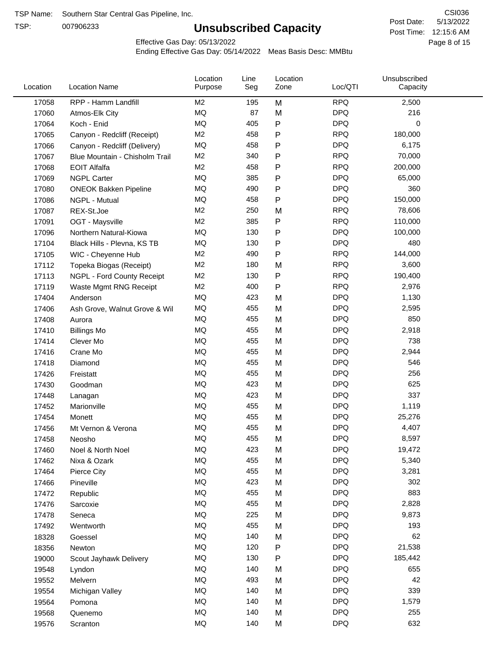TSP:

## **Unsubscribed Capacity**

5/13/2022 Page 8 of 15 Post Time: 12:15:6 AM CSI036 Post Date:

Effective Gas Day: 05/13/2022

| Location | <b>Location Name</b>           | Location<br>Purpose | Line<br>Seg | Location<br>Zone | Loc/QTI    | Unsubscribed<br>Capacity |  |
|----------|--------------------------------|---------------------|-------------|------------------|------------|--------------------------|--|
| 17058    | RPP - Hamm Landfill            | M2                  | 195         | M                | <b>RPQ</b> | 2,500                    |  |
| 17060    | Atmos-Elk City                 | MQ                  | 87          | M                | <b>DPQ</b> | 216                      |  |
| 17064    | Koch - Enid                    | MQ                  | 405         | P                | <b>DPQ</b> | $\mathbf 0$              |  |
| 17065    | Canyon - Redcliff (Receipt)    | M <sub>2</sub>      | 458         | P                | <b>RPQ</b> | 180,000                  |  |
| 17066    | Canyon - Redcliff (Delivery)   | <b>MQ</b>           | 458         | P                | <b>DPQ</b> | 6,175                    |  |
| 17067    | Blue Mountain - Chisholm Trail | M <sub>2</sub>      | 340         | P                | <b>RPQ</b> | 70,000                   |  |
| 17068    | <b>EOIT Alfalfa</b>            | M <sub>2</sub>      | 458         | P                | <b>RPQ</b> | 200,000                  |  |
| 17069    | <b>NGPL Carter</b>             | <b>MQ</b>           | 385         | P                | <b>DPQ</b> | 65,000                   |  |
| 17080    | <b>ONEOK Bakken Pipeline</b>   | MQ                  | 490         | $\mathsf{P}$     | <b>DPQ</b> | 360                      |  |
| 17086    | NGPL - Mutual                  | <b>MQ</b>           | 458         | P                | <b>DPQ</b> | 150,000                  |  |
| 17087    | REX-St.Joe                     | M2                  | 250         | M                | <b>RPQ</b> | 78,606                   |  |
| 17091    | OGT - Maysville                | M <sub>2</sub>      | 385         | P                | <b>RPQ</b> | 110,000                  |  |
| 17096    | Northern Natural-Kiowa         | <b>MQ</b>           | 130         | P                | <b>DPQ</b> | 100,000                  |  |
| 17104    | Black Hills - Plevna, KS TB    | <b>MQ</b>           | 130         | P                | <b>DPQ</b> | 480                      |  |
| 17105    | WIC - Cheyenne Hub             | M <sub>2</sub>      | 490         | P                | <b>RPQ</b> | 144,000                  |  |
| 17112    | Topeka Biogas (Receipt)        | M <sub>2</sub>      | 180         | M                | <b>RPQ</b> | 3,600                    |  |
| 17113    | NGPL - Ford County Receipt     | M <sub>2</sub>      | 130         | P                | <b>RPQ</b> | 190,400                  |  |
| 17119    | Waste Mgmt RNG Receipt         | M2                  | 400         | $\mathsf{P}$     | <b>RPQ</b> | 2,976                    |  |
| 17404    | Anderson                       | <b>MQ</b>           | 423         | M                | <b>DPQ</b> | 1,130                    |  |
| 17406    | Ash Grove, Walnut Grove & Wil  | <b>MQ</b>           | 455         | M                | <b>DPQ</b> | 2,595                    |  |
| 17408    | Aurora                         | <b>MQ</b>           | 455         | M                | <b>DPQ</b> | 850                      |  |
| 17410    | <b>Billings Mo</b>             | <b>MQ</b>           | 455         | M                | <b>DPQ</b> | 2,918                    |  |
| 17414    | Clever Mo                      | <b>MQ</b>           | 455         | M                | <b>DPQ</b> | 738                      |  |
| 17416    | Crane Mo                       | <b>MQ</b>           | 455         | M                | <b>DPQ</b> | 2,944                    |  |
| 17418    | Diamond                        | <b>MQ</b>           | 455         | M                | <b>DPQ</b> | 546                      |  |
| 17426    | Freistatt                      | <b>MQ</b>           | 455         | M                | <b>DPQ</b> | 256                      |  |
| 17430    | Goodman                        | <b>MQ</b>           | 423         | M                | <b>DPQ</b> | 625                      |  |
| 17448    | Lanagan                        | <b>MQ</b>           | 423         | M                | <b>DPQ</b> | 337                      |  |
| 17452    | Marionville                    | <b>MQ</b>           | 455         | M                | <b>DPQ</b> | 1,119                    |  |
| 17454    | Monett                         | <b>MQ</b>           | 455         | M                | <b>DPQ</b> | 25,276                   |  |
| 17456    | Mt Vernon & Verona             | <b>MQ</b>           | 455         | M                | <b>DPQ</b> | 4,407                    |  |
| 17458    | Neosho                         | MQ                  | 455         | M                | <b>DPQ</b> | 8,597                    |  |
| 17460    | Noel & North Noel              | MQ                  | 423         | M                | <b>DPQ</b> | 19,472                   |  |
| 17462    | Nixa & Ozark                   | MQ                  | 455         | M                | <b>DPQ</b> | 5,340                    |  |
| 17464    | Pierce City                    | MQ                  | 455         | M                | <b>DPQ</b> | 3,281                    |  |
| 17466    | Pineville                      | MQ                  | 423         | M                | <b>DPQ</b> | 302                      |  |
| 17472    | Republic                       | MQ                  | 455         | M                | <b>DPQ</b> | 883                      |  |
| 17476    | Sarcoxie                       | MQ                  | 455         | M                | <b>DPQ</b> | 2,828                    |  |
| 17478    | Seneca                         | MQ                  | 225         | M                | <b>DPQ</b> | 9,873                    |  |
| 17492    | Wentworth                      | MQ                  | 455         | M                | <b>DPQ</b> | 193                      |  |
| 18328    | Goessel                        | MQ                  | 140         | M                | <b>DPQ</b> | 62                       |  |
| 18356    | Newton                         | MQ                  | 120         | P                | <b>DPQ</b> | 21,538                   |  |
| 19000    | Scout Jayhawk Delivery         | MQ                  | 130         | P                | <b>DPQ</b> | 185,442                  |  |
| 19548    | Lyndon                         | MQ                  | 140         | M                | <b>DPQ</b> | 655                      |  |
| 19552    | Melvern                        | MQ                  | 493         | M                | <b>DPQ</b> | 42                       |  |
| 19554    | Michigan Valley                | MQ                  | 140         | M                | <b>DPQ</b> | 339                      |  |
| 19564    | Pomona                         | <b>MQ</b>           | 140         | M                | <b>DPQ</b> | 1,579                    |  |
| 19568    | Quenemo                        | MQ                  | 140         | M                | <b>DPQ</b> | 255                      |  |
| 19576    | Scranton                       | $\sf{MQ}$           | 140         | M                | <b>DPQ</b> | 632                      |  |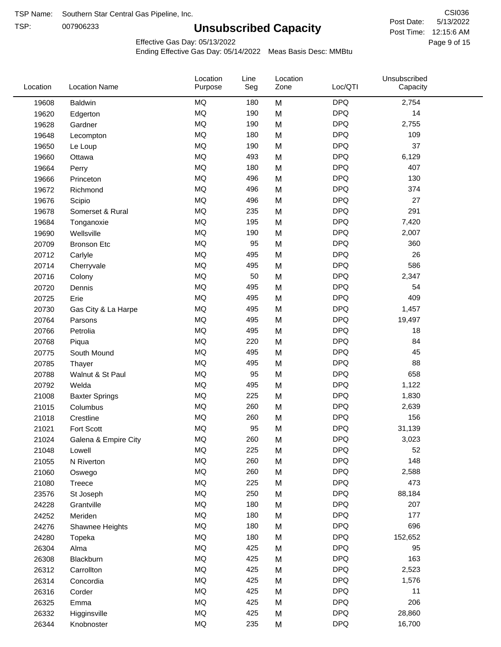TSP: 

# **Unsubscribed Capacity**

5/13/2022 Page 9 of 15 Post Time: 12:15:6 AM CSI036 Post Date:

Effective Gas Day: 05/13/2022

| Location | <b>Location Name</b>  | Location<br>Purpose | Line<br>Seg | Location<br>Zone | Loc/QTI    | Unsubscribed<br>Capacity |
|----------|-----------------------|---------------------|-------------|------------------|------------|--------------------------|
| 19608    | <b>Baldwin</b>        | <b>MQ</b>           | 180         | M                | <b>DPQ</b> | 2,754                    |
| 19620    | Edgerton              | <b>MQ</b>           | 190         | M                | <b>DPQ</b> | 14                       |
| 19628    | Gardner               | <b>MQ</b>           | 190         | M                | <b>DPQ</b> | 2,755                    |
| 19648    | Lecompton             | <b>MQ</b>           | 180         | M                | <b>DPQ</b> | 109                      |
| 19650    | Le Loup               | <b>MQ</b>           | 190         | M                | <b>DPQ</b> | 37                       |
| 19660    | Ottawa                | <b>MQ</b>           | 493         | M                | <b>DPQ</b> | 6,129                    |
| 19664    | Perry                 | <b>MQ</b>           | 180         | M                | <b>DPQ</b> | 407                      |
| 19666    | Princeton             | MQ                  | 496         | M                | <b>DPQ</b> | 130                      |
| 19672    | Richmond              | <b>MQ</b>           | 496         | M                | <b>DPQ</b> | 374                      |
| 19676    | Scipio                | <b>MQ</b>           | 496         | M                | <b>DPQ</b> | 27                       |
| 19678    | Somerset & Rural      | MQ                  | 235         | M                | <b>DPQ</b> | 291                      |
| 19684    | Tonganoxie            | <b>MQ</b>           | 195         | M                | <b>DPQ</b> | 7,420                    |
| 19690    | Wellsville            | MQ                  | 190         | M                | <b>DPQ</b> | 2,007                    |
| 20709    | <b>Bronson Etc</b>    | <b>MQ</b>           | 95          | M                | <b>DPQ</b> | 360                      |
| 20712    | Carlyle               | <b>MQ</b>           | 495         | M                | <b>DPQ</b> | 26                       |
| 20714    | Cherryvale            | <b>MQ</b>           | 495         | M                | <b>DPQ</b> | 586                      |
| 20716    | Colony                | <b>MQ</b>           | 50          | M                | <b>DPQ</b> | 2,347                    |
| 20720    | Dennis                | <b>MQ</b>           | 495         | M                | <b>DPQ</b> | 54                       |
| 20725    | Erie                  | <b>MQ</b>           | 495         | M                | <b>DPQ</b> | 409                      |
| 20730    | Gas City & La Harpe   | MQ                  | 495         | M                | <b>DPQ</b> | 1,457                    |
| 20764    | Parsons               | MQ                  | 495         | M                | <b>DPQ</b> | 19,497                   |
| 20766    | Petrolia              | MQ                  | 495         | M                | <b>DPQ</b> | 18                       |
| 20768    | Piqua                 | <b>MQ</b>           | 220         | M                | <b>DPQ</b> | 84                       |
| 20775    | South Mound           | <b>MQ</b>           | 495         | M                | <b>DPQ</b> | 45                       |
| 20785    | Thayer                | <b>MQ</b>           | 495         | M                | <b>DPQ</b> | 88                       |
| 20788    | Walnut & St Paul      | <b>MQ</b>           | 95          | M                | <b>DPQ</b> | 658                      |
| 20792    | Welda                 | <b>MQ</b>           | 495         | M                | <b>DPQ</b> | 1,122                    |
| 21008    | <b>Baxter Springs</b> | MQ                  | 225         | M                | <b>DPQ</b> | 1,830                    |
| 21015    | Columbus              | MQ                  | 260         | M                | <b>DPQ</b> | 2,639                    |
| 21018    | Crestline             | MQ                  | 260         | M                | <b>DPQ</b> | 156                      |
| 21021    | Fort Scott            | MQ                  | 95          | M                | <b>DPQ</b> | 31,139                   |
| 21024    | Galena & Empire City  | <b>MQ</b>           | 260         | M                | <b>DPQ</b> | 3,023                    |
| 21048    | Lowell                | MQ                  | 225         | M                | <b>DPQ</b> | 52                       |
| 21055    | N Riverton            | MQ                  | 260         | M                | <b>DPQ</b> | 148                      |
| 21060    | Oswego                | MQ                  | 260         | M                | <b>DPQ</b> | 2,588                    |
| 21080    | Treece                | <b>MQ</b>           | 225         | M                | <b>DPQ</b> | 473                      |
| 23576    | St Joseph             | <b>MQ</b>           | 250         | M                | <b>DPQ</b> | 88,184                   |
| 24228    | Grantville            | MQ                  | 180         | M                | <b>DPQ</b> | 207                      |
| 24252    | Meriden               | MQ                  | 180         | M                | <b>DPQ</b> | 177                      |
| 24276    | Shawnee Heights       | MQ                  | 180         | M                | <b>DPQ</b> | 696                      |
| 24280    | Topeka                | MQ                  | 180         | M                | <b>DPQ</b> | 152,652                  |
| 26304    | Alma                  | MQ                  | 425         | M                | <b>DPQ</b> | 95                       |
| 26308    | Blackburn             | <b>MQ</b>           | 425         | M                | <b>DPQ</b> | 163                      |
| 26312    | Carrollton            | <b>MQ</b>           | 425         | M                | <b>DPQ</b> | 2,523                    |
| 26314    | Concordia             | <b>MQ</b>           | 425         | M                | <b>DPQ</b> | 1,576                    |
| 26316    | Corder                | MQ                  | 425         | M                | <b>DPQ</b> | 11                       |
| 26325    | Emma                  | MQ                  | 425         | M                | <b>DPQ</b> | 206                      |
| 26332    | Higginsville          | MQ                  | 425         | M                | <b>DPQ</b> | 28,860                   |
| 26344    | Knobnoster            | MQ                  | 235         | M                | <b>DPQ</b> | 16,700                   |
|          |                       |                     |             |                  |            |                          |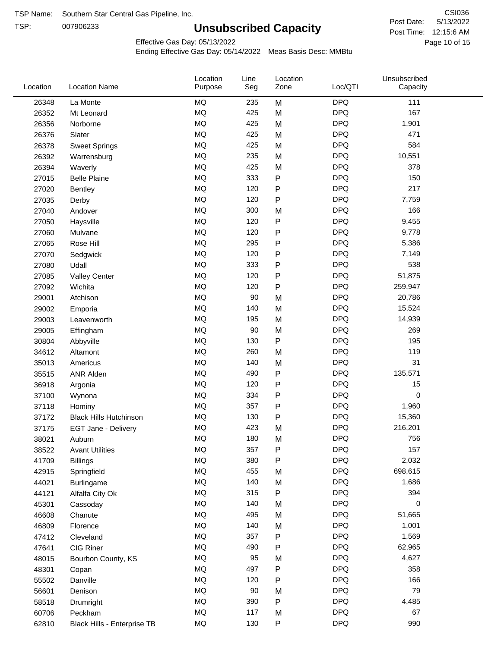TSP:

## **Unsubscribed Capacity**

5/13/2022 Page 10 of 15 Post Time: 12:15:6 AM CSI036 Post Date:

Effective Gas Day: 05/13/2022

| Location | <b>Location Name</b>          | Location<br>Purpose | Line<br>Seg | Location<br>Zone | Loc/QTI    | Unsubscribed<br>Capacity |  |
|----------|-------------------------------|---------------------|-------------|------------------|------------|--------------------------|--|
| 26348    | La Monte                      | <b>MQ</b>           | 235         | M                | <b>DPQ</b> | 111                      |  |
| 26352    | Mt Leonard                    | MQ                  | 425         | M                | <b>DPQ</b> | 167                      |  |
| 26356    | Norborne                      | MQ                  | 425         | M                | <b>DPQ</b> | 1,901                    |  |
| 26376    | Slater                        | MQ                  | 425         | M                | <b>DPQ</b> | 471                      |  |
| 26378    | <b>Sweet Springs</b>          | <b>MQ</b>           | 425         | M                | <b>DPQ</b> | 584                      |  |
| 26392    | Warrensburg                   | <b>MQ</b>           | 235         | M                | <b>DPQ</b> | 10,551                   |  |
| 26394    | Waverly                       | <b>MQ</b>           | 425         | M                | <b>DPQ</b> | 378                      |  |
| 27015    | <b>Belle Plaine</b>           | <b>MQ</b>           | 333         | ${\sf P}$        | <b>DPQ</b> | 150                      |  |
| 27020    | <b>Bentley</b>                | MQ                  | 120         | P                | <b>DPQ</b> | 217                      |  |
| 27035    | Derby                         | MQ                  | 120         | ${\sf P}$        | <b>DPQ</b> | 7,759                    |  |
| 27040    | Andover                       | MQ                  | 300         | M                | <b>DPQ</b> | 166                      |  |
| 27050    | Haysville                     | MQ                  | 120         | ${\sf P}$        | <b>DPQ</b> | 9,455                    |  |
| 27060    | Mulvane                       | MQ                  | 120         | P                | <b>DPQ</b> | 9,778                    |  |
| 27065    | Rose Hill                     | <b>MQ</b>           | 295         | P                | <b>DPQ</b> | 5,386                    |  |
| 27070    | Sedgwick                      | <b>MQ</b>           | 120         | P                | <b>DPQ</b> | 7,149                    |  |
| 27080    | Udall                         | <b>MQ</b>           | 333         | P                | <b>DPQ</b> | 538                      |  |
| 27085    | <b>Valley Center</b>          | MQ                  | 120         | $\mathsf{P}$     | <b>DPQ</b> | 51,875                   |  |
| 27092    | Wichita                       | MQ                  | 120         | P                | <b>DPQ</b> | 259,947                  |  |
| 29001    | Atchison                      | MQ                  | 90          | M                | <b>DPQ</b> | 20,786                   |  |
| 29002    | Emporia                       | MQ                  | 140         | M                | <b>DPQ</b> | 15,524                   |  |
| 29003    | Leavenworth                   | MQ                  | 195         | M                | <b>DPQ</b> | 14,939                   |  |
| 29005    | Effingham                     | MQ                  | 90          | M                | <b>DPQ</b> | 269                      |  |
| 30804    | Abbyville                     | <b>MQ</b>           | 130         | P                | <b>DPQ</b> | 195                      |  |
| 34612    | Altamont                      | MQ                  | 260         | M                | <b>DPQ</b> | 119                      |  |
| 35013    | Americus                      | MQ                  | 140         | M                | <b>DPQ</b> | 31                       |  |
| 35515    | ANR Alden                     | MQ                  | 490         | ${\sf P}$        | <b>DPQ</b> | 135,571                  |  |
| 36918    | Argonia                       | MQ                  | 120         | P                | <b>DPQ</b> | 15                       |  |
| 37100    | Wynona                        | <b>MQ</b>           | 334         | ${\sf P}$        | <b>DPQ</b> | $\mathbf 0$              |  |
| 37118    | Hominy                        | MQ                  | 357         | ${\sf P}$        | <b>DPQ</b> | 1,960                    |  |
| 37172    | <b>Black Hills Hutchinson</b> | MQ                  | 130         | P                | <b>DPQ</b> | 15,360                   |  |
| 37175    | <b>EGT Jane - Delivery</b>    | MQ                  | 423         | M                | <b>DPQ</b> | 216,201                  |  |
| 38021    | Auburn                        | MQ                  | 180         | M                | <b>DPQ</b> | 756                      |  |
| 38522    | <b>Avant Utilities</b>        | MQ                  | 357         | P                | <b>DPQ</b> | 157                      |  |
| 41709    | <b>Billings</b>               | $\sf{MQ}$           | 380         | Ρ                | <b>DPQ</b> | 2,032                    |  |
| 42915    | Springfield                   | $\sf{MQ}$           | 455         | M                | <b>DPQ</b> | 698,615                  |  |
| 44021    | Burlingame                    | $\sf{MQ}$           | 140         | M                | <b>DPQ</b> | 1,686                    |  |
| 44121    | Alfalfa City Ok               | MQ                  | 315         | P                | <b>DPQ</b> | 394                      |  |
| 45301    | Cassoday                      | <b>MQ</b>           | 140         | M                | <b>DPQ</b> | 0                        |  |
| 46608    | Chanute                       | MQ                  | 495         | M                | <b>DPQ</b> | 51,665                   |  |
| 46809    | Florence                      | MQ                  | 140         | M                | <b>DPQ</b> | 1,001                    |  |
| 47412    | Cleveland                     | MQ                  | 357         | Ρ                | <b>DPQ</b> | 1,569                    |  |
| 47641    | CIG Riner                     | MQ                  | 490         | P                | <b>DPQ</b> | 62,965                   |  |
| 48015    | Bourbon County, KS            | $\sf{MQ}$           | 95          | M                | <b>DPQ</b> | 4,627                    |  |
| 48301    | Copan                         | MQ                  | 497         | P                | <b>DPQ</b> | 358                      |  |
| 55502    | Danville                      | MQ                  | 120         | P                | <b>DPQ</b> | 166                      |  |
| 56601    | Denison                       | MQ                  | 90          | M                | <b>DPQ</b> | 79                       |  |
| 58518    | Drumright                     | MQ                  | 390         | P                | <b>DPQ</b> | 4,485                    |  |
| 60706    | Peckham                       | MQ                  | 117         | M                | <b>DPQ</b> | 67                       |  |
| 62810    | Black Hills - Enterprise TB   | $\sf{MQ}$           | 130         | ${\sf P}$        | <b>DPQ</b> | 990                      |  |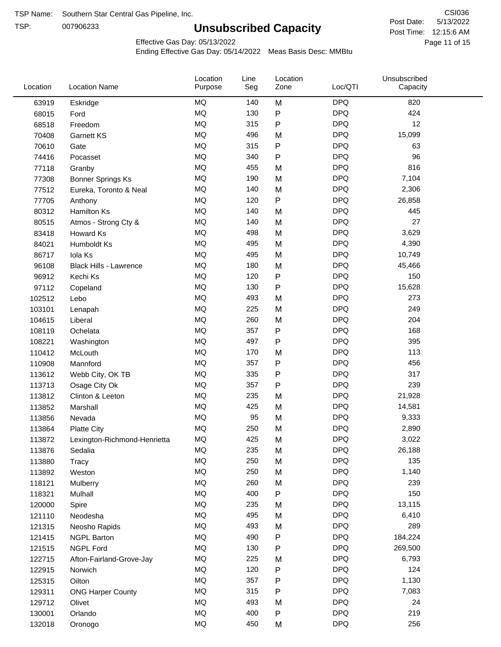TSP:

## **Unsubscribed Capacity**

5/13/2022 Page 11 of 15 Post Time: 12:15:6 AM CSI036 Post Date:

Effective Gas Day: 05/13/2022

| Location | <b>Location Name</b>          | Location<br>Purpose | Line<br>Seg | Location<br>Zone | Loc/QTI    | Unsubscribed<br>Capacity |  |
|----------|-------------------------------|---------------------|-------------|------------------|------------|--------------------------|--|
| 63919    | Eskridge                      | <b>MQ</b>           | 140         | M                | <b>DPQ</b> | 820                      |  |
| 68015    | Ford                          | MQ                  | 130         | P                | <b>DPQ</b> | 424                      |  |
| 68518    | Freedom                       | <b>MQ</b>           | 315         | P                | <b>DPQ</b> | 12                       |  |
| 70408    | <b>Garnett KS</b>             | <b>MQ</b>           | 496         | M                | <b>DPQ</b> | 15,099                   |  |
| 70610    | Gate                          | <b>MQ</b>           | 315         | P                | <b>DPQ</b> | 63                       |  |
| 74416    | Pocasset                      | <b>MQ</b>           | 340         | P                | <b>DPQ</b> | 96                       |  |
| 77118    | Granby                        | <b>MQ</b>           | 455         | M                | <b>DPQ</b> | 816                      |  |
| 77308    | <b>Bonner Springs Ks</b>      | <b>MQ</b>           | 190         | M                | <b>DPQ</b> | 7,104                    |  |
| 77512    | Eureka, Toronto & Neal        | <b>MQ</b>           | 140         | M                | <b>DPQ</b> | 2,306                    |  |
| 77705    | Anthony                       | <b>MQ</b>           | 120         | P                | <b>DPQ</b> | 26,858                   |  |
| 80312    | <b>Hamilton Ks</b>            | <b>MQ</b>           | 140         | M                | <b>DPQ</b> | 445                      |  |
| 80515    | Atmos - Strong Cty &          | <b>MQ</b>           | 140         | M                | <b>DPQ</b> | 27                       |  |
| 83418    | <b>Howard Ks</b>              | <b>MQ</b>           | 498         | M                | <b>DPQ</b> | 3,629                    |  |
| 84021    | Humboldt Ks                   | <b>MQ</b>           | 495         | M                | <b>DPQ</b> | 4,390                    |  |
| 86717    | Iola Ks                       | <b>MQ</b>           | 495         | M                | <b>DPQ</b> | 10,749                   |  |
| 96108    | <b>Black Hills - Lawrence</b> | <b>MQ</b>           | 180         | M                | <b>DPQ</b> | 45,466                   |  |
| 96912    | Kechi Ks                      | <b>MQ</b>           | 120         | P                | <b>DPQ</b> | 150                      |  |
| 97112    | Copeland                      | <b>MQ</b>           | 130         | P                | <b>DPQ</b> | 15,628                   |  |
| 102512   | Lebo                          | <b>MQ</b>           | 493         | M                | <b>DPQ</b> | 273                      |  |
| 103101   | Lenapah                       | <b>MQ</b>           | 225         | M                | <b>DPQ</b> | 249                      |  |
| 104615   | Liberal                       | <b>MQ</b>           | 260         | M                | <b>DPQ</b> | 204                      |  |
| 108119   | Ochelata                      | <b>MQ</b>           | 357         | P                | <b>DPQ</b> | 168                      |  |
| 108221   | Washington                    | <b>MQ</b>           | 497         | P                | <b>DPQ</b> | 395                      |  |
| 110412   | McLouth                       | <b>MQ</b>           | 170         | M                | <b>DPQ</b> | 113                      |  |
| 110908   | Mannford                      | <b>MQ</b>           | 357         | P                | <b>DPQ</b> | 456                      |  |
| 113612   | Webb City, OK TB              | <b>MQ</b>           | 335         | P                | <b>DPQ</b> | 317                      |  |
| 113713   | Osage City Ok                 | <b>MQ</b>           | 357         | Ρ                | <b>DPQ</b> | 239                      |  |
| 113812   | Clinton & Leeton              | <b>MQ</b>           | 235         | M                | <b>DPQ</b> | 21,928                   |  |
| 113852   | Marshall                      | <b>MQ</b>           | 425         | M                | <b>DPQ</b> | 14,581                   |  |
| 113856   | Nevada                        | <b>MQ</b>           | 95          | M                | <b>DPQ</b> | 9,333                    |  |
| 113864   | <b>Platte City</b>            | <b>MQ</b>           | 250         | M                | <b>DPQ</b> | 2,890                    |  |
| 113872   | Lexington-Richmond-Henrietta  | <b>MQ</b>           | 425         | M                | <b>DPQ</b> | 3,022                    |  |
| 113876   | Sedalia                       | MQ                  | 235         | M                | <b>DPQ</b> | 26,188                   |  |
| 113880   | Tracy                         | MQ                  | 250         | M                | <b>DPQ</b> | 135                      |  |
| 113892   | Weston                        | <b>MQ</b>           | 250         | M                | <b>DPQ</b> | 1,140                    |  |
| 118121   | Mulberry                      | MQ                  | 260         | M                | <b>DPQ</b> | 239                      |  |
| 118321   | Mulhall                       | MQ                  | 400         | P                | <b>DPQ</b> | 150                      |  |
| 120000   | Spire                         | MQ                  | 235         | M                | <b>DPQ</b> | 13,115                   |  |
| 121110   | Neodesha                      | MQ                  | 495         | M                | <b>DPQ</b> | 6,410                    |  |
| 121315   | Neosho Rapids                 | MQ                  | 493         | M                | <b>DPQ</b> | 289                      |  |
| 121415   | <b>NGPL Barton</b>            | MQ                  | 490         | Ρ                | <b>DPQ</b> | 184,224                  |  |
| 121515   | <b>NGPL Ford</b>              | MQ                  | 130         | P                | <b>DPQ</b> | 269,500                  |  |
| 122715   | Afton-Fairland-Grove-Jay      | MQ                  | 225         | M                | <b>DPQ</b> | 6,793                    |  |
| 122915   | Norwich                       | <b>MQ</b>           | 120         | Ρ                | <b>DPQ</b> | 124                      |  |
| 125315   | Oilton                        | MQ                  | 357         | Ρ                | <b>DPQ</b> | 1,130                    |  |
| 129311   | <b>ONG Harper County</b>      | MQ                  | 315         | Ρ                | <b>DPQ</b> | 7,083                    |  |
| 129712   | Olivet                        | MQ                  | 493         | M                | <b>DPQ</b> | 24                       |  |
| 130001   | Orlando                       | $\sf{MQ}$           | 400         | Ρ                | <b>DPQ</b> | 219                      |  |
| 132018   | Oronogo                       | $\sf{MQ}$           | 450         | M                | <b>DPQ</b> | 256                      |  |
|          |                               |                     |             |                  |            |                          |  |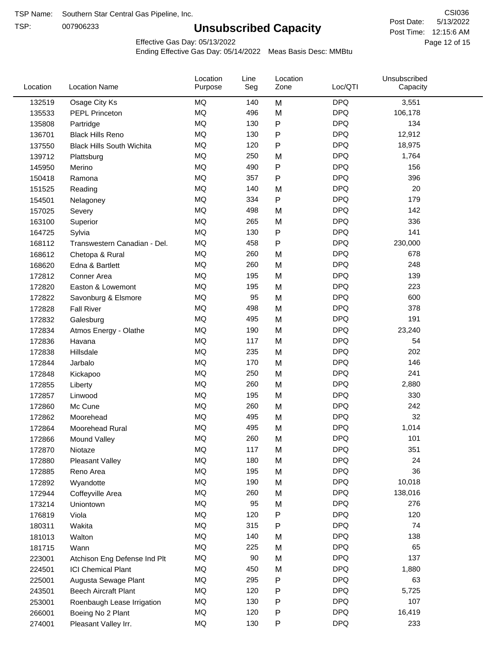TSP:

## **Unsubscribed Capacity**

5/13/2022 Page 12 of 15 Post Time: 12:15:6 AM CSI036 Post Date:

Effective Gas Day: 05/13/2022

| Location | <b>Location Name</b>             | Location<br>Purpose | Line<br>Seg | Location<br>Zone | Loc/QTI    | Unsubscribed<br>Capacity |  |
|----------|----------------------------------|---------------------|-------------|------------------|------------|--------------------------|--|
| 132519   | Osage City Ks                    | <b>MQ</b>           | 140         | M                | <b>DPQ</b> | 3,551                    |  |
| 135533   | <b>PEPL Princeton</b>            | MQ                  | 496         | M                | <b>DPQ</b> | 106,178                  |  |
| 135808   | Partridge                        | MQ                  | 130         | P                | <b>DPQ</b> | 134                      |  |
| 136701   | <b>Black Hills Reno</b>          | MQ                  | 130         | P                | <b>DPQ</b> | 12,912                   |  |
| 137550   | <b>Black Hills South Wichita</b> | <b>MQ</b>           | 120         | Ρ                | <b>DPQ</b> | 18,975                   |  |
| 139712   | Plattsburg                       | <b>MQ</b>           | 250         | M                | <b>DPQ</b> | 1,764                    |  |
| 145950   | Merino                           | <b>MQ</b>           | 490         | Ρ                | <b>DPQ</b> | 156                      |  |
| 150418   | Ramona                           | <b>MQ</b>           | 357         | Ρ                | <b>DPQ</b> | 396                      |  |
| 151525   | Reading                          | MQ                  | 140         | M                | <b>DPQ</b> | 20                       |  |
| 154501   | Nelagoney                        | <b>MQ</b>           | 334         | P                | <b>DPQ</b> | 179                      |  |
| 157025   | Severy                           | MQ                  | 498         | M                | <b>DPQ</b> | 142                      |  |
| 163100   | Superior                         | <b>MQ</b>           | 265         | M                | <b>DPQ</b> | 336                      |  |
| 164725   | Sylvia                           | <b>MQ</b>           | 130         | P                | <b>DPQ</b> | 141                      |  |
| 168112   | Transwestern Canadian - Del.     | <b>MQ</b>           | 458         | Ρ                | <b>DPQ</b> | 230,000                  |  |
| 168612   | Chetopa & Rural                  | <b>MQ</b>           | 260         | M                | <b>DPQ</b> | 678                      |  |
| 168620   | Edna & Bartlett                  | <b>MQ</b>           | 260         | M                | <b>DPQ</b> | 248                      |  |
| 172812   | Conner Area                      | <b>MQ</b>           | 195         | M                | <b>DPQ</b> | 139                      |  |
| 172820   | Easton & Lowemont                | MQ                  | 195         | M                | <b>DPQ</b> | 223                      |  |
| 172822   | Savonburg & Elsmore              | MQ                  | 95          | M                | <b>DPQ</b> | 600                      |  |
| 172828   | <b>Fall River</b>                | <b>MQ</b>           | 498         | M                | <b>DPQ</b> | 378                      |  |
| 172832   | Galesburg                        | MQ                  | 495         | M                | <b>DPQ</b> | 191                      |  |
| 172834   | Atmos Energy - Olathe            | <b>MQ</b>           | 190         | M                | <b>DPQ</b> | 23,240                   |  |
| 172836   | Havana                           | <b>MQ</b>           | 117         | M                | <b>DPQ</b> | 54                       |  |
| 172838   | Hillsdale                        | <b>MQ</b>           | 235         | M                | <b>DPQ</b> | 202                      |  |
| 172844   | Jarbalo                          | <b>MQ</b>           | 170         | M                | <b>DPQ</b> | 146                      |  |
| 172848   | Kickapoo                         | <b>MQ</b>           | 250         | M                | <b>DPQ</b> | 241                      |  |
| 172855   | Liberty                          | MQ                  | 260         | M                | <b>DPQ</b> | 2,880                    |  |
| 172857   | Linwood                          | MQ                  | 195         | M                | <b>DPQ</b> | 330                      |  |
| 172860   | Mc Cune                          | MQ                  | 260         | M                | <b>DPQ</b> | 242                      |  |
| 172862   | Moorehead                        | <b>MQ</b>           | 495         | M                | <b>DPQ</b> | 32                       |  |
| 172864   | Moorehead Rural                  | <b>MQ</b>           | 495         | M                | <b>DPQ</b> | 1,014                    |  |
| 172866   | Mound Valley                     | MQ                  | 260         | M                | <b>DPQ</b> | 101                      |  |
| 172870   | Niotaze                          | MQ                  | 117         | M                | <b>DPQ</b> | 351                      |  |
| 172880   | Pleasant Valley                  | $\sf{MQ}$           | 180         | M                | <b>DPQ</b> | 24                       |  |
| 172885   | Reno Area                        | MQ                  | 195         | M                | <b>DPQ</b> | 36                       |  |
| 172892   | Wyandotte                        | MQ                  | 190         | M                | <b>DPQ</b> | 10,018                   |  |
| 172944   | Coffeyville Area                 | MQ                  | 260         | M                | <b>DPQ</b> | 138,016                  |  |
| 173214   | Uniontown                        | MQ                  | 95          | M                | <b>DPQ</b> | 276                      |  |
| 176819   | Viola                            | MQ                  | 120         | Ρ                | <b>DPQ</b> | 120                      |  |
| 180311   | Wakita                           | MQ                  | 315         | Ρ                | <b>DPQ</b> | 74                       |  |
| 181013   | Walton                           | MQ                  | 140         | M                | <b>DPQ</b> | 138                      |  |
| 181715   | Wann                             | MQ                  | 225         | M                | <b>DPQ</b> | 65                       |  |
| 223001   | Atchison Eng Defense Ind Plt     | $\sf{MQ}$           | 90          | M                | <b>DPQ</b> | 137                      |  |
| 224501   | <b>ICI Chemical Plant</b>        | MQ                  | 450         | M                | <b>DPQ</b> | 1,880                    |  |
| 225001   | Augusta Sewage Plant             | MQ                  | 295         | Ρ                | <b>DPQ</b> | 63                       |  |
| 243501   | <b>Beech Aircraft Plant</b>      | MQ                  | 120         | Ρ                | <b>DPQ</b> | 5,725                    |  |
| 253001   | Roenbaugh Lease Irrigation       | MQ                  | 130         | P                | <b>DPQ</b> | 107                      |  |
| 266001   | Boeing No 2 Plant                | MQ                  | 120         | P                | <b>DPQ</b> | 16,419                   |  |
| 274001   | Pleasant Valley Irr.             | MQ                  | 130         | P                | <b>DPQ</b> | 233                      |  |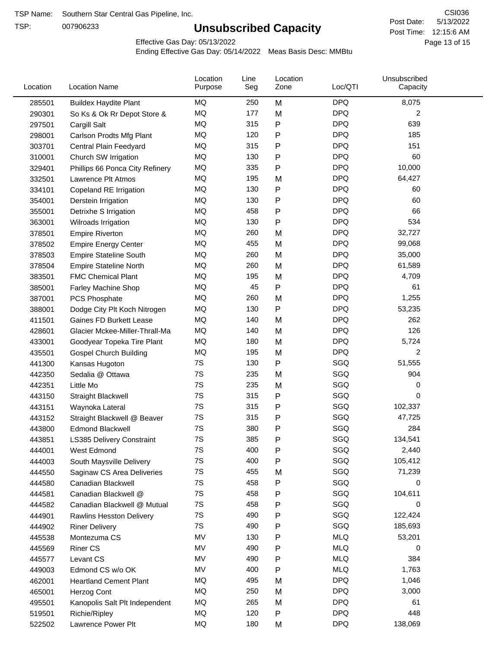TSP:

## **Unsubscribed Capacity**

5/13/2022 Page 13 of 15 Post Time: 12:15:6 AM CSI036 Post Date:

Effective Gas Day: 05/13/2022

| Location | <b>Location Name</b>            | Location<br>Purpose | Line<br>Seg | Location<br>Zone | Loc/QTI    | Unsubscribed<br>Capacity |  |
|----------|---------------------------------|---------------------|-------------|------------------|------------|--------------------------|--|
| 285501   | <b>Buildex Haydite Plant</b>    | MQ                  | 250         | M                | <b>DPQ</b> | 8,075                    |  |
| 290301   | So Ks & Ok Rr Depot Store &     | MQ                  | 177         | M                | <b>DPQ</b> | 2                        |  |
| 297501   | Cargill Salt                    | MQ                  | 315         | Ρ                | <b>DPQ</b> | 639                      |  |
| 298001   | Carlson Prodts Mfg Plant        | MQ                  | 120         | P                | <b>DPQ</b> | 185                      |  |
| 303701   | Central Plain Feedyard          | MQ                  | 315         | P                | <b>DPQ</b> | 151                      |  |
| 310001   | Church SW Irrigation            | MQ                  | 130         | $\mathsf{P}$     | <b>DPQ</b> | 60                       |  |
| 329401   | Phillips 66 Ponca City Refinery | MQ                  | 335         | $\mathsf{P}$     | <b>DPQ</b> | 10,000                   |  |
| 332501   | Lawrence Plt Atmos              | MQ                  | 195         | M                | <b>DPQ</b> | 64,427                   |  |
| 334101   | Copeland RE Irrigation          | MQ                  | 130         | ${\sf P}$        | <b>DPQ</b> | 60                       |  |
| 354001   | Derstein Irrigation             | MQ                  | 130         | P                | <b>DPQ</b> | 60                       |  |
| 355001   | Detrixhe S Irrigation           | MQ                  | 458         | $\mathsf{P}$     | <b>DPQ</b> | 66                       |  |
| 363001   | Wilroads Irrigation             | MQ                  | 130         | Ρ                | <b>DPQ</b> | 534                      |  |
| 378501   | <b>Empire Riverton</b>          | MQ                  | 260         | M                | <b>DPQ</b> | 32,727                   |  |
| 378502   | <b>Empire Energy Center</b>     | MQ                  | 455         | M                | <b>DPQ</b> | 99,068                   |  |
| 378503   | <b>Empire Stateline South</b>   | MQ                  | 260         | M                | <b>DPQ</b> | 35,000                   |  |
| 378504   | <b>Empire Stateline North</b>   | MQ                  | 260         | M                | <b>DPQ</b> | 61,589                   |  |
| 383501   | <b>FMC Chemical Plant</b>       | MQ                  | 195         | M                | <b>DPQ</b> | 4,709                    |  |
| 385001   | Farley Machine Shop             | MQ                  | 45          | $\mathsf{P}$     | <b>DPQ</b> | 61                       |  |
| 387001   | PCS Phosphate                   | MQ                  | 260         | M                | <b>DPQ</b> | 1,255                    |  |
| 388001   | Dodge City Plt Koch Nitrogen    | MQ                  | 130         | P                | <b>DPQ</b> | 53,235                   |  |
| 411501   | Gaines FD Burkett Lease         | MQ                  | 140         | M                | <b>DPQ</b> | 262                      |  |
| 428601   | Glacier Mckee-Miller-Thrall-Ma  | <b>MQ</b>           | 140         | M                | <b>DPQ</b> | 126                      |  |
| 433001   | Goodyear Topeka Tire Plant      | MQ                  | 180         | M                | <b>DPQ</b> | 5,724                    |  |
| 435501   | <b>Gospel Church Building</b>   | MQ                  | 195         | M                | <b>DPQ</b> | 2                        |  |
| 441300   | Kansas Hugoton                  | 7S                  | 130         | $\mathsf{P}$     | SGQ        | 51,555                   |  |
| 442350   | Sedalia @ Ottawa                | 7S                  | 235         | M                | SGQ        | 904                      |  |
| 442351   | Little Mo                       | 7S                  | 235         | M                | SGQ        | 0                        |  |
| 443150   | Straight Blackwell              | 7S                  | 315         | P                | SGQ        | 0                        |  |
| 443151   | Waynoka Lateral                 | 7S                  | 315         | P                | SGQ        | 102,337                  |  |
| 443152   | Straight Blackwell @ Beaver     | 7S                  | 315         | Ρ                | SGQ        | 47,725                   |  |
| 443800   | <b>Edmond Blackwell</b>         | 7S                  | 380         | Ρ                | SGQ        | 284                      |  |
| 443851   | LS385 Delivery Constraint       | 7S                  | 385         | P                | SGQ        | 134,541                  |  |
| 444001   | West Edmond                     | 7S                  | 400         | P                | SGQ        | 2,440                    |  |
| 444003   | South Maysville Delivery        | 7S                  | 400         | P                | SGQ        | 105,412                  |  |
| 444550   | Saginaw CS Area Deliveries      | 7S                  | 455         | M                | SGQ        | 71,239                   |  |
| 444580   | Canadian Blackwell              | 7S                  | 458         | ${\sf P}$        | SGQ        | 0                        |  |
| 444581   | Canadian Blackwell @            | 7S                  | 458         | $\mathsf{P}$     | SGQ        | 104,611                  |  |
| 444582   | Canadian Blackwell @ Mutual     | 7S                  | 458         | Ρ                | SGQ        | 0                        |  |
| 444901   | Rawlins Hesston Delivery        | 7S                  | 490         | Ρ                | SGQ        | 122,424                  |  |
| 444902   | <b>Riner Delivery</b>           | 7S                  | 490         | Ρ                | SGQ        | 185,693                  |  |
| 445538   | Montezuma CS                    | MV                  | 130         | P                | <b>MLQ</b> | 53,201                   |  |
| 445569   | <b>Riner CS</b>                 | MV                  | 490         | P                | <b>MLQ</b> | 0                        |  |
| 445577   | Levant CS                       | MV                  | 490         | P                | <b>MLQ</b> | 384                      |  |
| 449003   | Edmond CS w/o OK                | MV                  | 400         | $\mathsf{P}$     | <b>MLQ</b> | 1,763                    |  |
| 462001   | <b>Heartland Cement Plant</b>   | MQ                  | 495         | M                | <b>DPQ</b> | 1,046                    |  |
| 465001   | Herzog Cont                     | MQ                  | 250         | M                | <b>DPQ</b> | 3,000                    |  |
| 495501   | Kanopolis Salt Plt Independent  | MQ                  | 265         | M                | <b>DPQ</b> | 61                       |  |
| 519501   | Richie/Ripley                   | MQ                  | 120         | P                | <b>DPQ</b> | 448                      |  |
| 522502   | Lawrence Power Plt              | MQ                  | 180         | M                | <b>DPQ</b> | 138,069                  |  |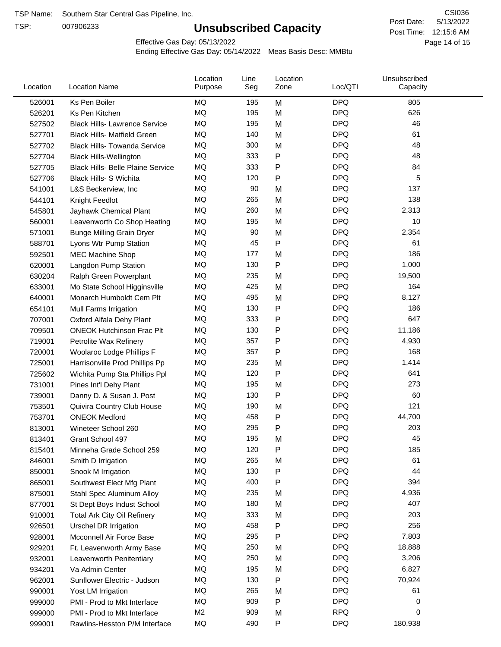TSP:

## **Unsubscribed Capacity**

5/13/2022 Page 14 of 15 Post Time: 12:15:6 AM CSI036 Post Date:

Effective Gas Day: 05/13/2022

| Location | <b>Location Name</b>                     | Location<br>Purpose | Line<br>Seg | Location<br>Zone | Loc/QTI    | Unsubscribed<br>Capacity |  |
|----------|------------------------------------------|---------------------|-------------|------------------|------------|--------------------------|--|
| 526001   | Ks Pen Boiler                            | MQ                  | 195         | M                | <b>DPQ</b> | 805                      |  |
| 526201   | Ks Pen Kitchen                           | MQ                  | 195         | M                | <b>DPQ</b> | 626                      |  |
| 527502   | <b>Black Hills- Lawrence Service</b>     | MQ                  | 195         | M                | <b>DPQ</b> | 46                       |  |
| 527701   | <b>Black Hills- Matfield Green</b>       | <b>MQ</b>           | 140         | M                | <b>DPQ</b> | 61                       |  |
| 527702   | <b>Black Hills- Towanda Service</b>      | MQ                  | 300         | M                | <b>DPQ</b> | 48                       |  |
| 527704   | <b>Black Hills-Wellington</b>            | <b>MQ</b>           | 333         | Ρ                | <b>DPQ</b> | 48                       |  |
| 527705   | <b>Black Hills- Belle Plaine Service</b> | MQ                  | 333         | Ρ                | <b>DPQ</b> | 84                       |  |
| 527706   | Black Hills- S Wichita                   | MQ                  | 120         | Ρ                | <b>DPQ</b> | 5                        |  |
| 541001   | L&S Beckerview, Inc                      | MQ                  | 90          | M                | <b>DPQ</b> | 137                      |  |
| 544101   | Knight Feedlot                           | MQ                  | 265         | M                | <b>DPQ</b> | 138                      |  |
| 545801   | Jayhawk Chemical Plant                   | MQ                  | 260         | M                | <b>DPQ</b> | 2,313                    |  |
| 560001   | Leavenworth Co Shop Heating              | MQ                  | 195         | M                | <b>DPQ</b> | 10                       |  |
| 571001   | <b>Bunge Milling Grain Dryer</b>         | <b>MQ</b>           | 90          | M                | <b>DPQ</b> | 2,354                    |  |
| 588701   | Lyons Wtr Pump Station                   | <b>MQ</b>           | 45          | P                | <b>DPQ</b> | 61                       |  |
| 592501   | <b>MEC Machine Shop</b>                  | MQ                  | 177         | M                | <b>DPQ</b> | 186                      |  |
| 620001   | Langdon Pump Station                     | MQ                  | 130         | Ρ                | <b>DPQ</b> | 1,000                    |  |
| 630204   | Ralph Green Powerplant                   | MQ                  | 235         | M                | <b>DPQ</b> | 19,500                   |  |
| 633001   | Mo State School Higginsville             | MQ                  | 425         | M                | <b>DPQ</b> | 164                      |  |
| 640001   | Monarch Humboldt Cem Plt                 | MQ                  | 495         | M                | <b>DPQ</b> | 8,127                    |  |
| 654101   | Mull Farms Irrigation                    | MQ                  | 130         | Ρ                | <b>DPQ</b> | 186                      |  |
| 707001   | Oxford Alfala Dehy Plant                 | MQ                  | 333         | Ρ                | <b>DPQ</b> | 647                      |  |
| 709501   | <b>ONEOK Hutchinson Frac Plt</b>         | <b>MQ</b>           | 130         | Ρ                | <b>DPQ</b> | 11,186                   |  |
| 719001   | Petrolite Wax Refinery                   | MQ                  | 357         | Ρ                | <b>DPQ</b> | 4,930                    |  |
| 720001   | Woolaroc Lodge Phillips F                | MQ                  | 357         | Ρ                | <b>DPQ</b> | 168                      |  |
| 725001   | Harrisonville Prod Phillips Pp           | MQ                  | 235         | M                | <b>DPQ</b> | 1,414                    |  |
| 725602   | Wichita Pump Sta Phillips Ppl            | MQ                  | 120         | Ρ                | <b>DPQ</b> | 641                      |  |
| 731001   | Pines Int'l Dehy Plant                   | MQ                  | 195         | M                | <b>DPQ</b> | 273                      |  |
| 739001   | Danny D. & Susan J. Post                 | MQ                  | 130         | P                | <b>DPQ</b> | 60                       |  |
| 753501   | Quivira Country Club House               | MQ                  | 190         | M                | <b>DPQ</b> | 121                      |  |
| 753701   | <b>ONEOK Medford</b>                     | MQ                  | 458         | Ρ                | <b>DPQ</b> | 44,700                   |  |
| 813001   | Wineteer School 260                      | MQ                  | 295         | P                | <b>DPQ</b> | 203                      |  |
| 813401   | Grant School 497                         | MQ                  | 195         | M                | <b>DPQ</b> | 45                       |  |
| 815401   | Minneha Grade School 259                 | MQ                  | 120         | Ρ                | <b>DPQ</b> | 185                      |  |
| 846001   | Smith D Irrigation                       | MQ                  | 265         | M                | <b>DPQ</b> | 61                       |  |
| 850001   | Snook M Irrigation                       | MQ                  | 130         | Ρ                | <b>DPQ</b> | 44                       |  |
| 865001   | Southwest Elect Mfg Plant                | MQ                  | 400         | Ρ                | <b>DPQ</b> | 394                      |  |
| 875001   | Stahl Spec Aluminum Alloy                | MQ                  | 235         | M                | <b>DPQ</b> | 4,936                    |  |
| 877001   | St Dept Boys Indust School               | MQ                  | 180         | M                | <b>DPQ</b> | 407                      |  |
| 910001   | <b>Total Ark City Oil Refinery</b>       | MQ                  | 333         | M                | <b>DPQ</b> | 203                      |  |
| 926501   | Urschel DR Irrigation                    | MQ                  | 458         | Ρ                | <b>DPQ</b> | 256                      |  |
| 928001   | Mcconnell Air Force Base                 | MQ                  | 295         | Ρ                | <b>DPQ</b> | 7,803                    |  |
| 929201   | Ft. Leavenworth Army Base                | MQ                  | 250         | M                | <b>DPQ</b> | 18,888                   |  |
| 932001   | Leavenworth Penitentiary                 | MQ                  | 250         | M                | <b>DPQ</b> | 3,206                    |  |
| 934201   | Va Admin Center                          | MQ                  | 195         | M                | <b>DPQ</b> | 6,827                    |  |
| 962001   | Sunflower Electric - Judson              | MQ                  | 130         | Ρ                | <b>DPQ</b> | 70,924                   |  |
| 990001   | Yost LM Irrigation                       | MQ                  | 265         | M                | <b>DPQ</b> | 61                       |  |
| 999000   | PMI - Prod to Mkt Interface              | MQ                  | 909         | Ρ                | <b>DPQ</b> | 0                        |  |
| 999000   | PMI - Prod to Mkt Interface              | M <sub>2</sub>      | 909         | M                | <b>RPQ</b> | 0                        |  |
| 999001   | Rawlins-Hesston P/M Interface            | MQ                  | 490         | Ρ                | <b>DPQ</b> | 180,938                  |  |